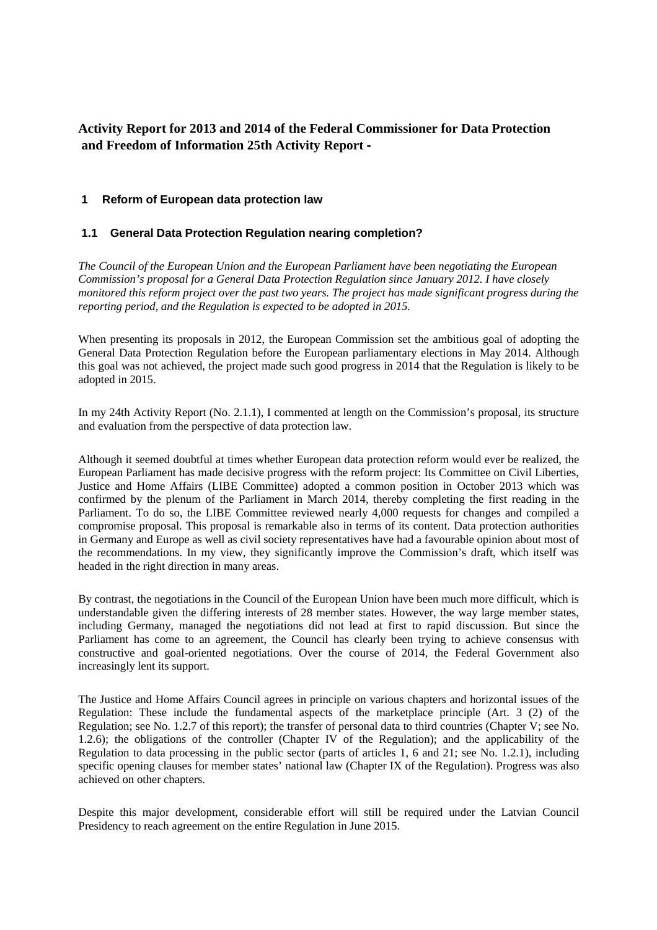# **Activity Report for 2013 and 2014 of the Federal Commissioner for Data Protection and Freedom of Information 25th Activity Report -**

# **1 Reform of European data protection law**

# **1.1 General Data Protection Regulation nearing completion?**

*The Council of the European Union and the European Parliament have been negotiating the European Commission's proposal for a General Data Protection Regulation since January 2012. I have closely monitored this reform project over the past two years. The project has made significant progress during the reporting period, and the Regulation is expected to be adopted in 2015.*

When presenting its proposals in 2012, the European Commission set the ambitious goal of adopting the General Data Protection Regulation before the European parliamentary elections in May 2014. Although this goal was not achieved, the project made such good progress in 2014 that the Regulation is likely to be adopted in 2015.

In my 24th Activity Report (No. 2.1.1), I commented at length on the Commission's proposal, its structure and evaluation from the perspective of data protection law.

Although it seemed doubtful at times whether European data protection reform would ever be realized, the European Parliament has made decisive progress with the reform project: Its Committee on Civil Liberties, Justice and Home Affairs (LIBE Committee) adopted a common position in October 2013 which was confirmed by the plenum of the Parliament in March 2014, thereby completing the first reading in the Parliament. To do so, the LIBE Committee reviewed nearly 4,000 requests for changes and compiled a compromise proposal. This proposal is remarkable also in terms of its content. Data protection authorities in Germany and Europe as well as civil society representatives have had a favourable opinion about most of the recommendations. In my view, they significantly improve the Commission's draft, which itself was headed in the right direction in many areas.

By contrast, the negotiations in the Council of the European Union have been much more difficult, which is understandable given the differing interests of 28 member states. However, the way large member states, including Germany, managed the negotiations did not lead at first to rapid discussion. But since the Parliament has come to an agreement, the Council has clearly been trying to achieve consensus with constructive and goal-oriented negotiations. Over the course of 2014, the Federal Government also increasingly lent its support.

The Justice and Home Affairs Council agrees in principle on various chapters and horizontal issues of the Regulation: These include the fundamental aspects of the marketplace principle (Art. 3 (2) of the Regulation; see No. 1.2.7 of this report); the transfer of personal data to third countries (Chapter V; see No. 1.2.6); the obligations of the controller (Chapter IV of the Regulation); and the applicability of the Regulation to data processing in the public sector (parts of articles 1, 6 and 21; see No. 1.2.1), including specific opening clauses for member states' national law (Chapter IX of the Regulation). Progress was also achieved on other chapters.

Despite this major development, considerable effort will still be required under the Latvian Council Presidency to reach agreement on the entire Regulation in June 2015.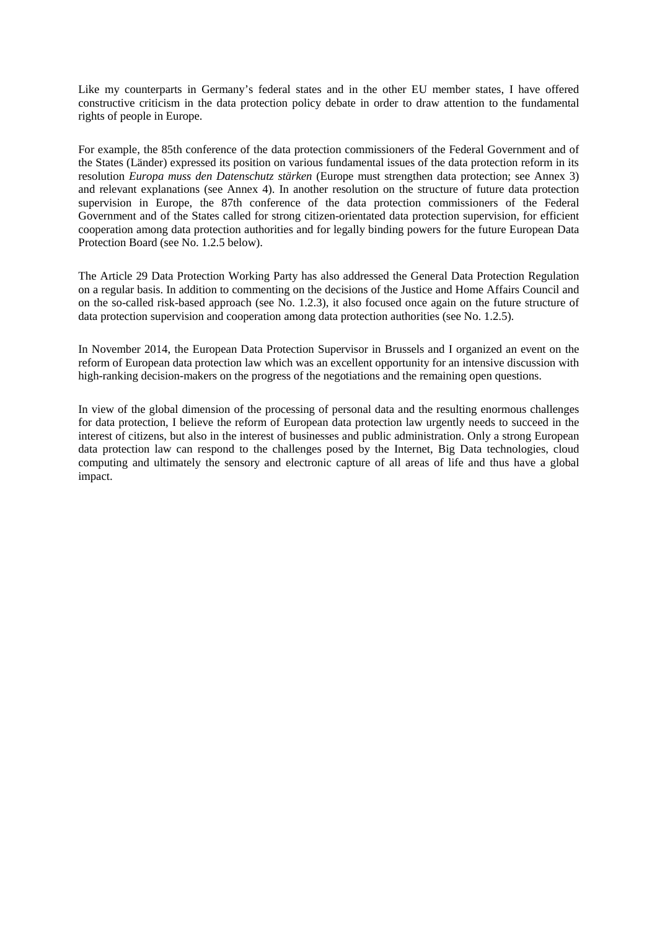Like my counterparts in Germany's federal states and in the other EU member states, I have offered constructive criticism in the data protection policy debate in order to draw attention to the fundamental rights of people in Europe.

For example, the 85th conference of the data protection commissioners of the Federal Government and of the States (Länder) expressed its position on various fundamental issues of the data protection reform in its resolution *Europa muss den Datenschutz stärken* (Europe must strengthen data protection; see Annex 3) and relevant explanations (see Annex 4). In another resolution on the structure of future data protection supervision in Europe, the 87th conference of the data protection commissioners of the Federal Government and of the States called for strong citizen-orientated data protection supervision, for efficient cooperation among data protection authorities and for legally binding powers for the future European Data Protection Board (see No. 1.2.5 below).

The Article 29 Data Protection Working Party has also addressed the General Data Protection Regulation on a regular basis. In addition to commenting on the decisions of the Justice and Home Affairs Council and on the so-called risk-based approach (see No. 1.2.3), it also focused once again on the future structure of data protection supervision and cooperation among data protection authorities (see No. 1.2.5).

In November 2014, the European Data Protection Supervisor in Brussels and I organized an event on the reform of European data protection law which was an excellent opportunity for an intensive discussion with high-ranking decision-makers on the progress of the negotiations and the remaining open questions.

In view of the global dimension of the processing of personal data and the resulting enormous challenges for data protection, I believe the reform of European data protection law urgently needs to succeed in the interest of citizens, but also in the interest of businesses and public administration. Only a strong European data protection law can respond to the challenges posed by the Internet, Big Data technologies, cloud computing and ultimately the sensory and electronic capture of all areas of life and thus have a global impact.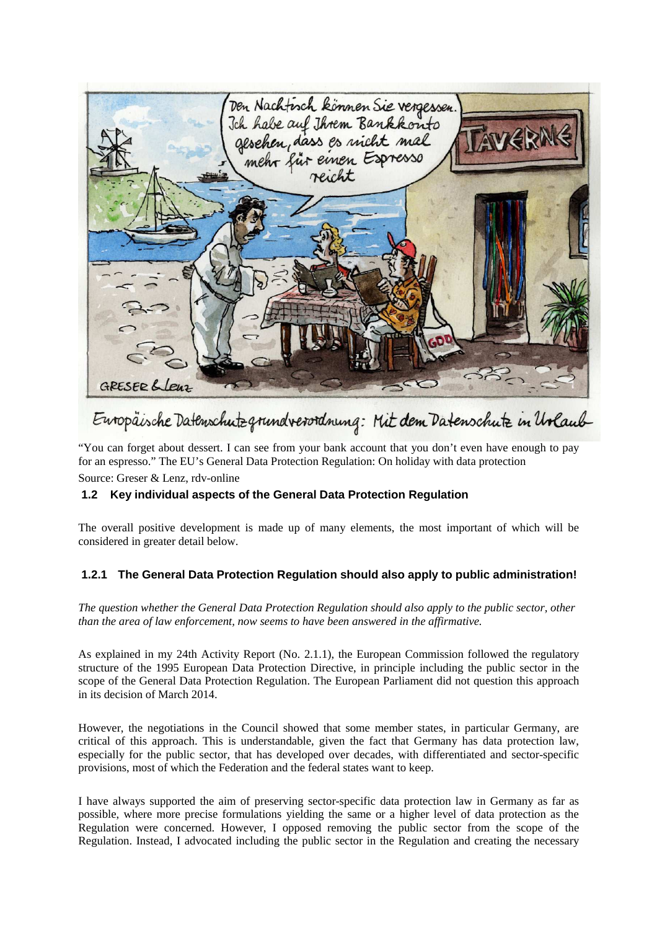

# Europäische Datenschutzgrundverordnung: Mit dem Datenschutz in Urlaub

"You can forget about dessert. I can see from your bank account that you don't even have enough to pay for an espresso." The EU's General Data Protection Regulation: On holiday with data protection

Source: Greser & Lenz, rdv-online

# **1.2 Key individual aspects of the General Data Protection Regulation**

The overall positive development is made up of many elements, the most important of which will be considered in greater detail below.

# **1.2.1 The General Data Protection Regulation should also apply to public administration!**

*The question whether the General Data Protection Regulation should also apply to the public sector, other than the area of law enforcement, now seems to have been answered in the affirmative.*

As explained in my 24th Activity Report (No. 2.1.1), the European Commission followed the regulatory structure of the 1995 European Data Protection Directive, in principle including the public sector in the scope of the General Data Protection Regulation. The European Parliament did not question this approach in its decision of March 2014.

However, the negotiations in the Council showed that some member states, in particular Germany, are critical of this approach. This is understandable, given the fact that Germany has data protection law, especially for the public sector, that has developed over decades, with differentiated and sector-specific provisions, most of which the Federation and the federal states want to keep.

I have always supported the aim of preserving sector-specific data protection law in Germany as far as possible, where more precise formulations yielding the same or a higher level of data protection as the Regulation were concerned. However, I opposed removing the public sector from the scope of the Regulation. Instead, I advocated including the public sector in the Regulation and creating the necessary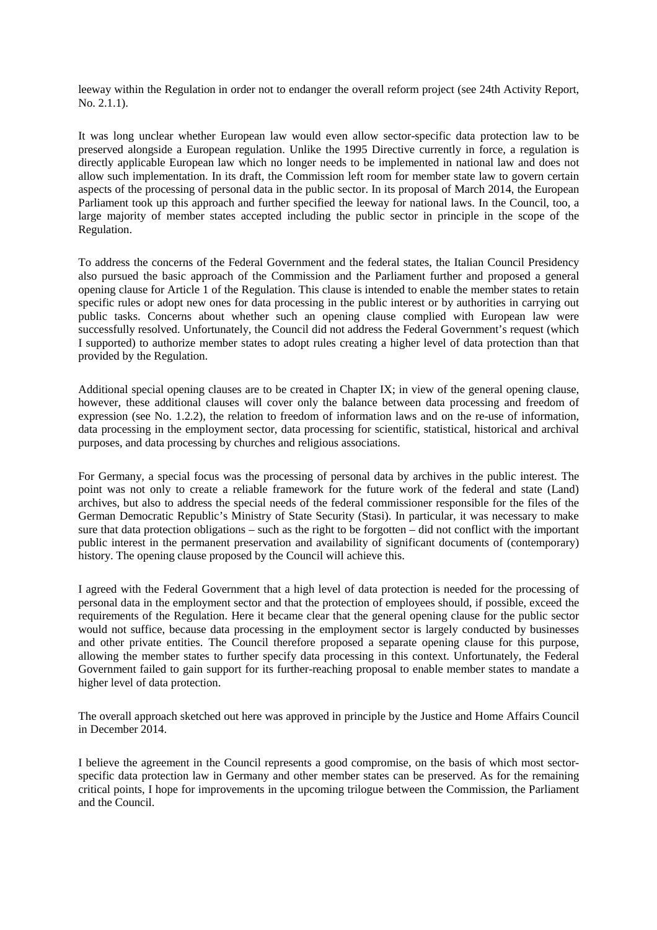leeway within the Regulation in order not to endanger the overall reform project (see 24th Activity Report, No. 2.1.1).

It was long unclear whether European law would even allow sector-specific data protection law to be preserved alongside a European regulation. Unlike the 1995 Directive currently in force, a regulation is directly applicable European law which no longer needs to be implemented in national law and does not allow such implementation. In its draft, the Commission left room for member state law to govern certain aspects of the processing of personal data in the public sector. In its proposal of March 2014, the European Parliament took up this approach and further specified the leeway for national laws. In the Council, too, a large majority of member states accepted including the public sector in principle in the scope of the Regulation.

To address the concerns of the Federal Government and the federal states, the Italian Council Presidency also pursued the basic approach of the Commission and the Parliament further and proposed a general opening clause for Article 1 of the Regulation. This clause is intended to enable the member states to retain specific rules or adopt new ones for data processing in the public interest or by authorities in carrying out public tasks. Concerns about whether such an opening clause complied with European law were successfully resolved. Unfortunately, the Council did not address the Federal Government's request (which I supported) to authorize member states to adopt rules creating a higher level of data protection than that provided by the Regulation.

Additional special opening clauses are to be created in Chapter IX; in view of the general opening clause, however, these additional clauses will cover only the balance between data processing and freedom of expression (see No. 1.2.2), the relation to freedom of information laws and on the re-use of information, data processing in the employment sector, data processing for scientific, statistical, historical and archival purposes, and data processing by churches and religious associations.

For Germany, a special focus was the processing of personal data by archives in the public interest. The point was not only to create a reliable framework for the future work of the federal and state (Land) archives, but also to address the special needs of the federal commissioner responsible for the files of the German Democratic Republic's Ministry of State Security (Stasi). In particular, it was necessary to make sure that data protection obligations – such as the right to be forgotten – did not conflict with the important public interest in the permanent preservation and availability of significant documents of (contemporary) history. The opening clause proposed by the Council will achieve this.

I agreed with the Federal Government that a high level of data protection is needed for the processing of personal data in the employment sector and that the protection of employees should, if possible, exceed the requirements of the Regulation. Here it became clear that the general opening clause for the public sector would not suffice, because data processing in the employment sector is largely conducted by businesses and other private entities. The Council therefore proposed a separate opening clause for this purpose, allowing the member states to further specify data processing in this context. Unfortunately, the Federal Government failed to gain support for its further-reaching proposal to enable member states to mandate a higher level of data protection.

The overall approach sketched out here was approved in principle by the Justice and Home Affairs Council in December 2014.

I believe the agreement in the Council represents a good compromise, on the basis of which most sectorspecific data protection law in Germany and other member states can be preserved. As for the remaining critical points, I hope for improvements in the upcoming trilogue between the Commission, the Parliament and the Council.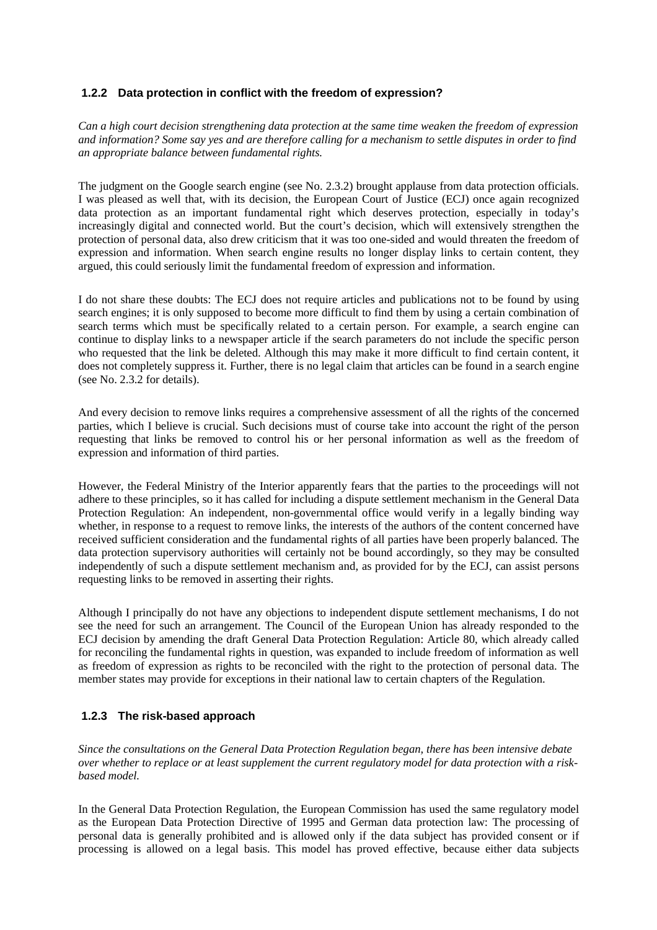# **1.2.2 Data protection in conflict with the freedom of expression?**

*Can a high court decision strengthening data protection at the same time weaken the freedom of expression and information? Some say yes and are therefore calling for a mechanism to settle disputes in order to find an appropriate balance between fundamental rights.*

The judgment on the Google search engine (see No. 2.3.2) brought applause from data protection officials. I was pleased as well that, with its decision, the European Court of Justice (ECJ) once again recognized data protection as an important fundamental right which deserves protection, especially in today's increasingly digital and connected world. But the court's decision, which will extensively strengthen the protection of personal data, also drew criticism that it was too one-sided and would threaten the freedom of expression and information. When search engine results no longer display links to certain content, they argued, this could seriously limit the fundamental freedom of expression and information.

I do not share these doubts: The ECJ does not require articles and publications not to be found by using search engines; it is only supposed to become more difficult to find them by using a certain combination of search terms which must be specifically related to a certain person. For example, a search engine can continue to display links to a newspaper article if the search parameters do not include the specific person who requested that the link be deleted. Although this may make it more difficult to find certain content, it does not completely suppress it. Further, there is no legal claim that articles can be found in a search engine (see No. 2.3.2 for details).

And every decision to remove links requires a comprehensive assessment of all the rights of the concerned parties, which I believe is crucial. Such decisions must of course take into account the right of the person requesting that links be removed to control his or her personal information as well as the freedom of expression and information of third parties.

However, the Federal Ministry of the Interior apparently fears that the parties to the proceedings will not adhere to these principles, so it has called for including a dispute settlement mechanism in the General Data Protection Regulation: An independent, non-governmental office would verify in a legally binding way whether, in response to a request to remove links, the interests of the authors of the content concerned have received sufficient consideration and the fundamental rights of all parties have been properly balanced. The data protection supervisory authorities will certainly not be bound accordingly, so they may be consulted independently of such a dispute settlement mechanism and, as provided for by the ECJ, can assist persons requesting links to be removed in asserting their rights.

Although I principally do not have any objections to independent dispute settlement mechanisms, I do not see the need for such an arrangement. The Council of the European Union has already responded to the ECJ decision by amending the draft General Data Protection Regulation: Article 80, which already called for reconciling the fundamental rights in question, was expanded to include freedom of information as well as freedom of expression as rights to be reconciled with the right to the protection of personal data. The member states may provide for exceptions in their national law to certain chapters of the Regulation.

# **1.2.3 The risk-based approach**

*Since the consultations on the General Data Protection Regulation began, there has been intensive debate over whether to replace or at least supplement the current regulatory model for data protection with a riskbased model.*

In the General Data Protection Regulation, the European Commission has used the same regulatory model as the European Data Protection Directive of 1995 and German data protection law: The processing of personal data is generally prohibited and is allowed only if the data subject has provided consent or if processing is allowed on a legal basis. This model has proved effective, because either data subjects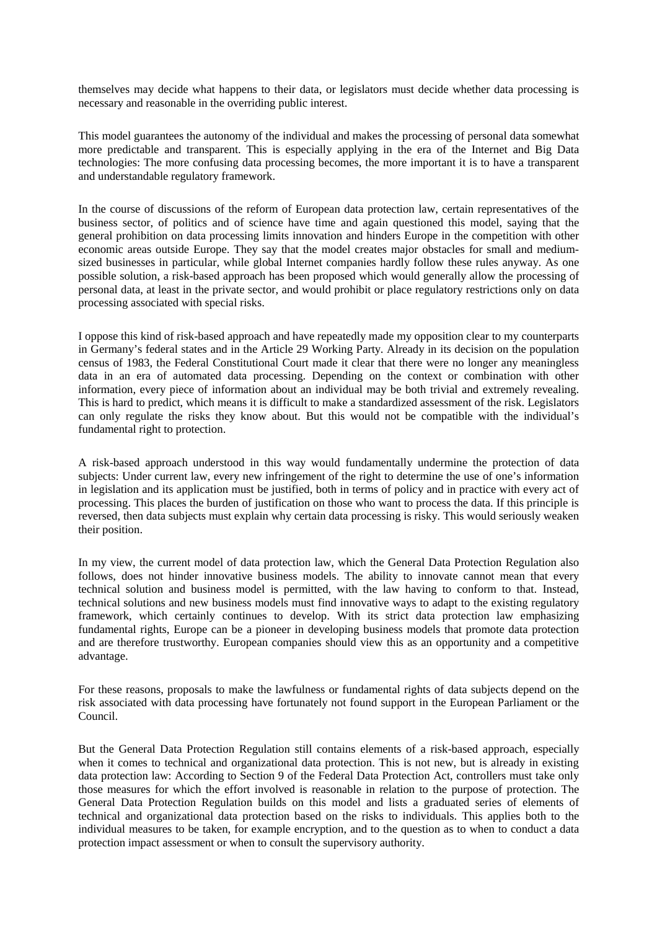themselves may decide what happens to their data, or legislators must decide whether data processing is necessary and reasonable in the overriding public interest.

This model guarantees the autonomy of the individual and makes the processing of personal data somewhat more predictable and transparent. This is especially applying in the era of the Internet and Big Data technologies: The more confusing data processing becomes, the more important it is to have a transparent and understandable regulatory framework.

In the course of discussions of the reform of European data protection law, certain representatives of the business sector, of politics and of science have time and again questioned this model, saying that the general prohibition on data processing limits innovation and hinders Europe in the competition with other economic areas outside Europe. They say that the model creates major obstacles for small and mediumsized businesses in particular, while global Internet companies hardly follow these rules anyway. As one possible solution, a risk-based approach has been proposed which would generally allow the processing of personal data, at least in the private sector, and would prohibit or place regulatory restrictions only on data processing associated with special risks.

I oppose this kind of risk-based approach and have repeatedly made my opposition clear to my counterparts in Germany's federal states and in the Article 29 Working Party. Already in its decision on the population census of 1983, the Federal Constitutional Court made it clear that there were no longer any meaningless data in an era of automated data processing. Depending on the context or combination with other information, every piece of information about an individual may be both trivial and extremely revealing. This is hard to predict, which means it is difficult to make a standardized assessment of the risk. Legislators can only regulate the risks they know about. But this would not be compatible with the individual's fundamental right to protection.

A risk-based approach understood in this way would fundamentally undermine the protection of data subjects: Under current law, every new infringement of the right to determine the use of one's information in legislation and its application must be justified, both in terms of policy and in practice with every act of processing. This places the burden of justification on those who want to process the data. If this principle is reversed, then data subjects must explain why certain data processing is risky. This would seriously weaken their position.

In my view, the current model of data protection law, which the General Data Protection Regulation also follows, does not hinder innovative business models. The ability to innovate cannot mean that every technical solution and business model is permitted, with the law having to conform to that. Instead, technical solutions and new business models must find innovative ways to adapt to the existing regulatory framework, which certainly continues to develop. With its strict data protection law emphasizing fundamental rights, Europe can be a pioneer in developing business models that promote data protection and are therefore trustworthy. European companies should view this as an opportunity and a competitive advantage.

For these reasons, proposals to make the lawfulness or fundamental rights of data subjects depend on the risk associated with data processing have fortunately not found support in the European Parliament or the Council.

But the General Data Protection Regulation still contains elements of a risk-based approach, especially when it comes to technical and organizational data protection. This is not new, but is already in existing data protection law: According to Section 9 of the Federal Data Protection Act, controllers must take only those measures for which the effort involved is reasonable in relation to the purpose of protection. The General Data Protection Regulation builds on this model and lists a graduated series of elements of technical and organizational data protection based on the risks to individuals. This applies both to the individual measures to be taken, for example encryption, and to the question as to when to conduct a data protection impact assessment or when to consult the supervisory authority.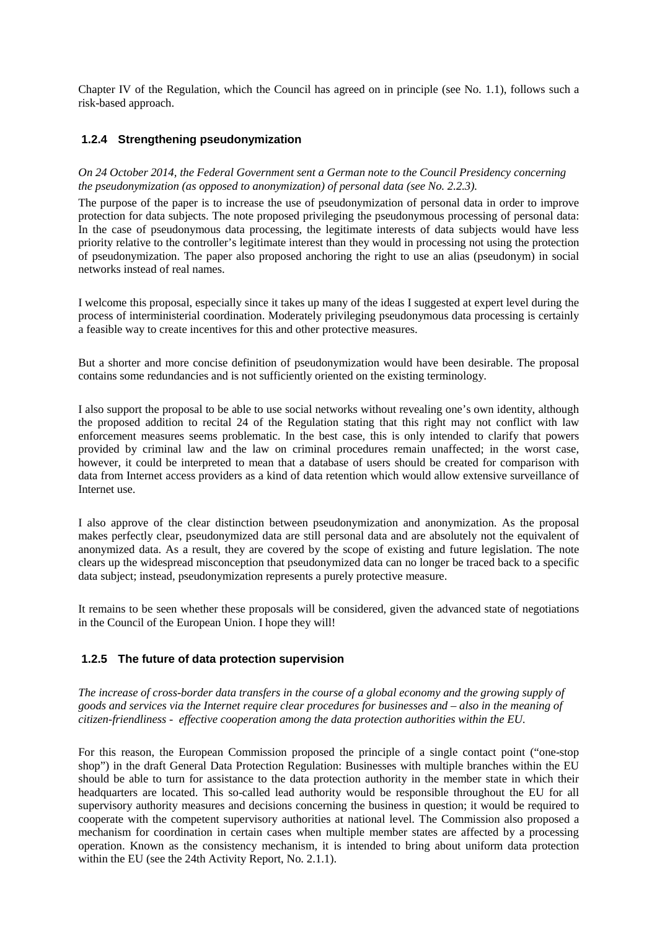Chapter IV of the Regulation, which the Council has agreed on in principle (see No. 1.1), follows such a risk-based approach.

# **1.2.4 Strengthening pseudonymization**

## *On 24 October 2014, the Federal Government sent a German note to the Council Presidency concerning the pseudonymization (as opposed to anonymization) of personal data (see No. 2.2.3).*

The purpose of the paper is to increase the use of pseudonymization of personal data in order to improve protection for data subjects. The note proposed privileging the pseudonymous processing of personal data: In the case of pseudonymous data processing, the legitimate interests of data subjects would have less priority relative to the controller's legitimate interest than they would in processing not using the protection of pseudonymization. The paper also proposed anchoring the right to use an alias (pseudonym) in social networks instead of real names.

I welcome this proposal, especially since it takes up many of the ideas I suggested at expert level during the process of interministerial coordination. Moderately privileging pseudonymous data processing is certainly a feasible way to create incentives for this and other protective measures.

But a shorter and more concise definition of pseudonymization would have been desirable. The proposal contains some redundancies and is not sufficiently oriented on the existing terminology.

I also support the proposal to be able to use social networks without revealing one's own identity, although the proposed addition to recital 24 of the Regulation stating that this right may not conflict with law enforcement measures seems problematic. In the best case, this is only intended to clarify that powers provided by criminal law and the law on criminal procedures remain unaffected; in the worst case, however, it could be interpreted to mean that a database of users should be created for comparison with data from Internet access providers as a kind of data retention which would allow extensive surveillance of Internet use.

I also approve of the clear distinction between pseudonymization and anonymization. As the proposal makes perfectly clear, pseudonymized data are still personal data and are absolutely not the equivalent of anonymized data. As a result, they are covered by the scope of existing and future legislation. The note clears up the widespread misconception that pseudonymized data can no longer be traced back to a specific data subject; instead, pseudonymization represents a purely protective measure.

It remains to be seen whether these proposals will be considered, given the advanced state of negotiations in the Council of the European Union. I hope they will!

# **1.2.5 The future of data protection supervision**

*The increase of cross-border data transfers in the course of a global economy and the growing supply of goods and services via the Internet require clear procedures for businesses and – also in the meaning of citizen-friendliness - effective cooperation among the data protection authorities within the EU.*

For this reason, the European Commission proposed the principle of a single contact point ("one-stop shop") in the draft General Data Protection Regulation: Businesses with multiple branches within the EU should be able to turn for assistance to the data protection authority in the member state in which their headquarters are located. This so-called lead authority would be responsible throughout the EU for all supervisory authority measures and decisions concerning the business in question; it would be required to cooperate with the competent supervisory authorities at national level. The Commission also proposed a mechanism for coordination in certain cases when multiple member states are affected by a processing operation. Known as the consistency mechanism, it is intended to bring about uniform data protection within the EU (see the 24th Activity Report, No. 2.1.1).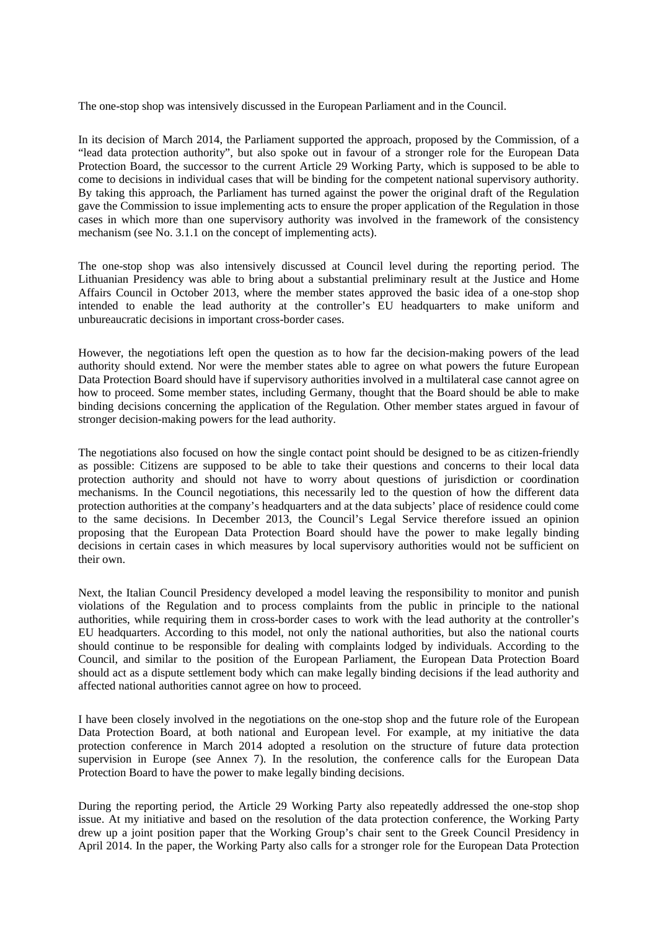The one-stop shop was intensively discussed in the European Parliament and in the Council.

In its decision of March 2014, the Parliament supported the approach, proposed by the Commission, of a "lead data protection authority", but also spoke out in favour of a stronger role for the European Data Protection Board, the successor to the current Article 29 Working Party, which is supposed to be able to come to decisions in individual cases that will be binding for the competent national supervisory authority. By taking this approach, the Parliament has turned against the power the original draft of the Regulation gave the Commission to issue implementing acts to ensure the proper application of the Regulation in those cases in which more than one supervisory authority was involved in the framework of the consistency mechanism (see No. 3.1.1 on the concept of implementing acts).

The one-stop shop was also intensively discussed at Council level during the reporting period. The Lithuanian Presidency was able to bring about a substantial preliminary result at the Justice and Home Affairs Council in October 2013, where the member states approved the basic idea of a one-stop shop intended to enable the lead authority at the controller's EU headquarters to make uniform and unbureaucratic decisions in important cross-border cases.

However, the negotiations left open the question as to how far the decision-making powers of the lead authority should extend. Nor were the member states able to agree on what powers the future European Data Protection Board should have if supervisory authorities involved in a multilateral case cannot agree on how to proceed. Some member states, including Germany, thought that the Board should be able to make binding decisions concerning the application of the Regulation. Other member states argued in favour of stronger decision-making powers for the lead authority.

The negotiations also focused on how the single contact point should be designed to be as citizen-friendly as possible: Citizens are supposed to be able to take their questions and concerns to their local data protection authority and should not have to worry about questions of jurisdiction or coordination mechanisms. In the Council negotiations, this necessarily led to the question of how the different data protection authorities at the company's headquarters and at the data subjects' place of residence could come to the same decisions. In December 2013, the Council's Legal Service therefore issued an opinion proposing that the European Data Protection Board should have the power to make legally binding decisions in certain cases in which measures by local supervisory authorities would not be sufficient on their own.

Next, the Italian Council Presidency developed a model leaving the responsibility to monitor and punish violations of the Regulation and to process complaints from the public in principle to the national authorities, while requiring them in cross-border cases to work with the lead authority at the controller's EU headquarters. According to this model, not only the national authorities, but also the national courts should continue to be responsible for dealing with complaints lodged by individuals. According to the Council, and similar to the position of the European Parliament, the European Data Protection Board should act as a dispute settlement body which can make legally binding decisions if the lead authority and affected national authorities cannot agree on how to proceed.

I have been closely involved in the negotiations on the one-stop shop and the future role of the European Data Protection Board, at both national and European level. For example, at my initiative the data protection conference in March 2014 adopted a resolution on the structure of future data protection supervision in Europe (see Annex 7). In the resolution, the conference calls for the European Data Protection Board to have the power to make legally binding decisions.

During the reporting period, the Article 29 Working Party also repeatedly addressed the one-stop shop issue. At my initiative and based on the resolution of the data protection conference, the Working Party drew up a joint position paper that the Working Group's chair sent to the Greek Council Presidency in April 2014. In the paper, the Working Party also calls for a stronger role for the European Data Protection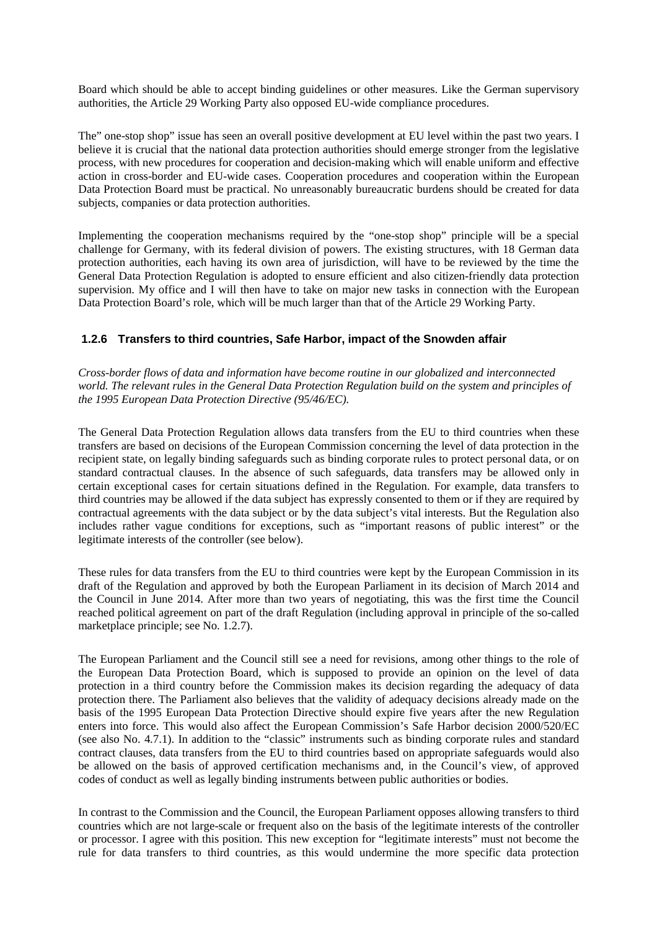Board which should be able to accept binding guidelines or other measures. Like the German supervisory authorities, the Article 29 Working Party also opposed EU-wide compliance procedures.

The" one-stop shop" issue has seen an overall positive development at EU level within the past two years. I believe it is crucial that the national data protection authorities should emerge stronger from the legislative process, with new procedures for cooperation and decision-making which will enable uniform and effective action in cross-border and EU-wide cases. Cooperation procedures and cooperation within the European Data Protection Board must be practical. No unreasonably bureaucratic burdens should be created for data subjects, companies or data protection authorities.

Implementing the cooperation mechanisms required by the "one-stop shop" principle will be a special challenge for Germany, with its federal division of powers. The existing structures, with 18 German data protection authorities, each having its own area of jurisdiction, will have to be reviewed by the time the General Data Protection Regulation is adopted to ensure efficient and also citizen-friendly data protection supervision. My office and I will then have to take on major new tasks in connection with the European Data Protection Board's role, which will be much larger than that of the Article 29 Working Party.

# **1.2.6 Transfers to third countries, Safe Harbor, impact of the Snowden affair**

*Cross-border flows of data and information have become routine in our globalized and interconnected world. The relevant rules in the General Data Protection Regulation build on the system and principles of the 1995 European Data Protection Directive (95/46/EC).*

The General Data Protection Regulation allows data transfers from the EU to third countries when these transfers are based on decisions of the European Commission concerning the level of data protection in the recipient state, on legally binding safeguards such as binding corporate rules to protect personal data, or on standard contractual clauses. In the absence of such safeguards, data transfers may be allowed only in certain exceptional cases for certain situations defined in the Regulation. For example, data transfers to third countries may be allowed if the data subject has expressly consented to them or if they are required by contractual agreements with the data subject or by the data subject's vital interests. But the Regulation also includes rather vague conditions for exceptions, such as "important reasons of public interest" or the legitimate interests of the controller (see below).

These rules for data transfers from the EU to third countries were kept by the European Commission in its draft of the Regulation and approved by both the European Parliament in its decision of March 2014 and the Council in June 2014. After more than two years of negotiating, this was the first time the Council reached political agreement on part of the draft Regulation (including approval in principle of the so-called marketplace principle; see No. 1.2.7).

The European Parliament and the Council still see a need for revisions, among other things to the role of the European Data Protection Board, which is supposed to provide an opinion on the level of data protection in a third country before the Commission makes its decision regarding the adequacy of data protection there. The Parliament also believes that the validity of adequacy decisions already made on the basis of the 1995 European Data Protection Directive should expire five years after the new Regulation enters into force. This would also affect the European Commission's Safe Harbor decision 2000/520/EC (see also No. 4.7.1). In addition to the "classic" instruments such as binding corporate rules and standard contract clauses, data transfers from the EU to third countries based on appropriate safeguards would also be allowed on the basis of approved certification mechanisms and, in the Council's view, of approved codes of conduct as well as legally binding instruments between public authorities or bodies.

In contrast to the Commission and the Council, the European Parliament opposes allowing transfers to third countries which are not large-scale or frequent also on the basis of the legitimate interests of the controller or processor. I agree with this position. This new exception for "legitimate interests" must not become the rule for data transfers to third countries, as this would undermine the more specific data protection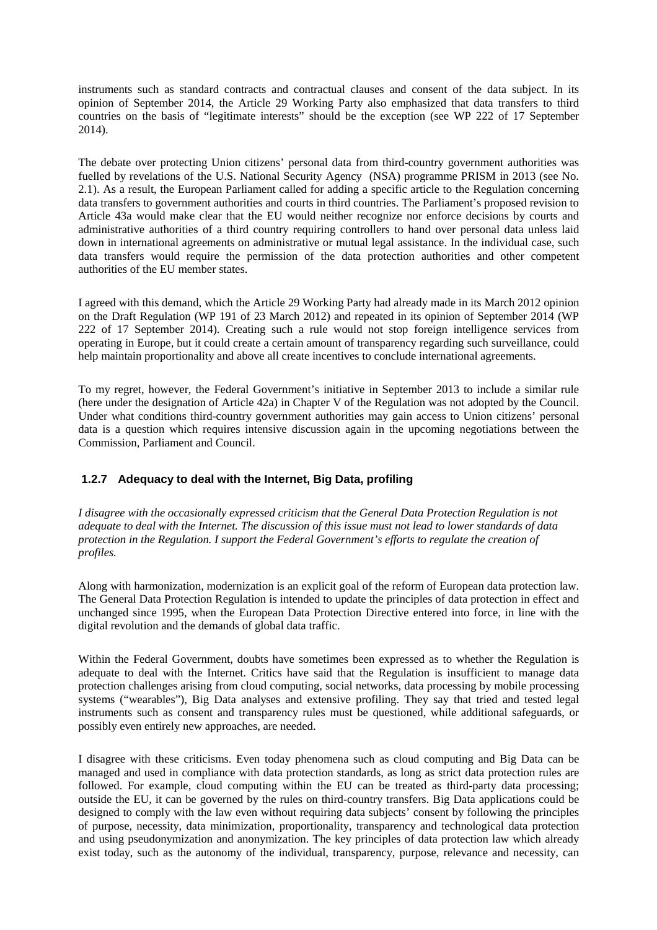instruments such as standard contracts and contractual clauses and consent of the data subject. In its opinion of September 2014, the Article 29 Working Party also emphasized that data transfers to third countries on the basis of "legitimate interests" should be the exception (see WP 222 of 17 September 2014).

The debate over protecting Union citizens' personal data from third-country government authorities was fuelled by revelations of the U.S. National Security Agency (NSA) programme PRISM in 2013 (see No. 2.1). As a result, the European Parliament called for adding a specific article to the Regulation concerning data transfers to government authorities and courts in third countries. The Parliament's proposed revision to Article 43a would make clear that the EU would neither recognize nor enforce decisions by courts and administrative authorities of a third country requiring controllers to hand over personal data unless laid down in international agreements on administrative or mutual legal assistance. In the individual case, such data transfers would require the permission of the data protection authorities and other competent authorities of the EU member states.

I agreed with this demand, which the Article 29 Working Party had already made in its March 2012 opinion on the Draft Regulation (WP 191 of 23 March 2012) and repeated in its opinion of September 2014 (WP 222 of 17 September 2014). Creating such a rule would not stop foreign intelligence services from operating in Europe, but it could create a certain amount of transparency regarding such surveillance, could help maintain proportionality and above all create incentives to conclude international agreements.

To my regret, however, the Federal Government's initiative in September 2013 to include a similar rule (here under the designation of Article 42a) in Chapter V of the Regulation was not adopted by the Council. Under what conditions third-country government authorities may gain access to Union citizens' personal data is a question which requires intensive discussion again in the upcoming negotiations between the Commission, Parliament and Council.

# **1.2.7 Adequacy to deal with the Internet, Big Data, profiling**

*I disagree with the occasionally expressed criticism that the General Data Protection Regulation is not adequate to deal with the Internet. The discussion of this issue must not lead to lower standards of data protection in the Regulation. I support the Federal Government's efforts to regulate the creation of profiles.*

Along with harmonization, modernization is an explicit goal of the reform of European data protection law. The General Data Protection Regulation is intended to update the principles of data protection in effect and unchanged since 1995, when the European Data Protection Directive entered into force, in line with the digital revolution and the demands of global data traffic.

Within the Federal Government, doubts have sometimes been expressed as to whether the Regulation is adequate to deal with the Internet. Critics have said that the Regulation is insufficient to manage data protection challenges arising from cloud computing, social networks, data processing by mobile processing systems ("wearables"), Big Data analyses and extensive profiling. They say that tried and tested legal instruments such as consent and transparency rules must be questioned, while additional safeguards, or possibly even entirely new approaches, are needed.

I disagree with these criticisms. Even today phenomena such as cloud computing and Big Data can be managed and used in compliance with data protection standards, as long as strict data protection rules are followed. For example, cloud computing within the EU can be treated as third-party data processing; outside the EU, it can be governed by the rules on third-country transfers. Big Data applications could be designed to comply with the law even without requiring data subjects' consent by following the principles of purpose, necessity, data minimization, proportionality, transparency and technological data protection and using pseudonymization and anonymization. The key principles of data protection law which already exist today, such as the autonomy of the individual, transparency, purpose, relevance and necessity, can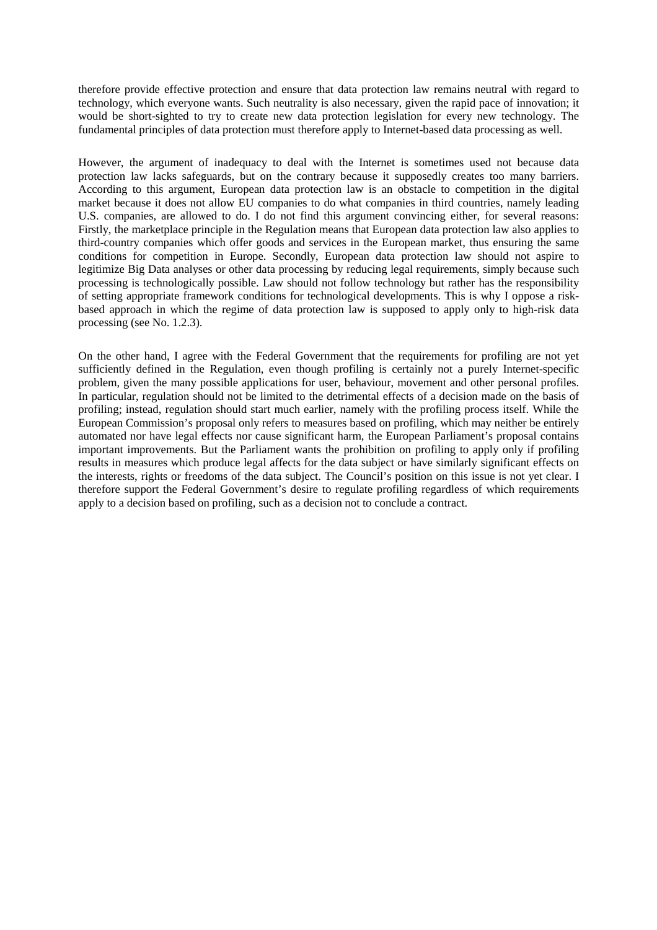therefore provide effective protection and ensure that data protection law remains neutral with regard to technology, which everyone wants. Such neutrality is also necessary, given the rapid pace of innovation; it would be short-sighted to try to create new data protection legislation for every new technology. The fundamental principles of data protection must therefore apply to Internet-based data processing as well.

However, the argument of inadequacy to deal with the Internet is sometimes used not because data protection law lacks safeguards, but on the contrary because it supposedly creates too many barriers. According to this argument, European data protection law is an obstacle to competition in the digital market because it does not allow EU companies to do what companies in third countries, namely leading U.S. companies, are allowed to do. I do not find this argument convincing either, for several reasons: Firstly, the marketplace principle in the Regulation means that European data protection law also applies to third-country companies which offer goods and services in the European market, thus ensuring the same conditions for competition in Europe. Secondly, European data protection law should not aspire to legitimize Big Data analyses or other data processing by reducing legal requirements, simply because such processing is technologically possible. Law should not follow technology but rather has the responsibility of setting appropriate framework conditions for technological developments. This is why I oppose a riskbased approach in which the regime of data protection law is supposed to apply only to high-risk data processing (see No. 1.2.3).

On the other hand, I agree with the Federal Government that the requirements for profiling are not yet sufficiently defined in the Regulation, even though profiling is certainly not a purely Internet-specific problem, given the many possible applications for user, behaviour, movement and other personal profiles. In particular, regulation should not be limited to the detrimental effects of a decision made on the basis of profiling; instead, regulation should start much earlier, namely with the profiling process itself. While the European Commission's proposal only refers to measures based on profiling, which may neither be entirely automated nor have legal effects nor cause significant harm, the European Parliament's proposal contains important improvements. But the Parliament wants the prohibition on profiling to apply only if profiling results in measures which produce legal affects for the data subject or have similarly significant effects on the interests, rights or freedoms of the data subject. The Council's position on this issue is not yet clear. I therefore support the Federal Government's desire to regulate profiling regardless of which requirements apply to a decision based on profiling, such as a decision not to conclude a contract.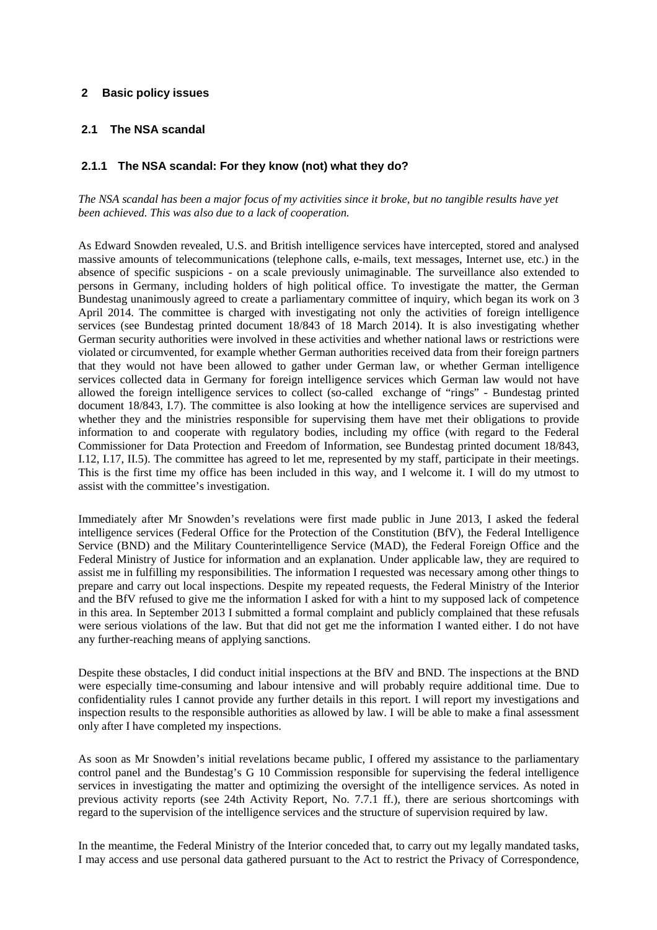## **2 Basic policy issues**

# **2.1 The NSA scandal**

# **2.1.1 The NSA scandal: For they know (not) what they do?**

*The NSA scandal has been a major focus of my activities since it broke, but no tangible results have yet been achieved. This was also due to a lack of cooperation.*

As Edward Snowden revealed, U.S. and British intelligence services have intercepted, stored and analysed massive amounts of telecommunications (telephone calls, e-mails, text messages, Internet use, etc.) in the absence of specific suspicions - on a scale previously unimaginable. The surveillance also extended to persons in Germany, including holders of high political office. To investigate the matter, the German Bundestag unanimously agreed to create a parliamentary committee of inquiry, which began its work on 3 April 2014. The committee is charged with investigating not only the activities of foreign intelligence services (see Bundestag printed document 18/843 of 18 March 2014). It is also investigating whether German security authorities were involved in these activities and whether national laws or restrictions were violated or circumvented, for example whether German authorities received data from their foreign partners that they would not have been allowed to gather under German law, or whether German intelligence services collected data in Germany for foreign intelligence services which German law would not have allowed the foreign intelligence services to collect (so-called exchange of "rings" - Bundestag printed document 18/843, I.7). The committee is also looking at how the intelligence services are supervised and whether they and the ministries responsible for supervising them have met their obligations to provide information to and cooperate with regulatory bodies, including my office (with regard to the Federal Commissioner for Data Protection and Freedom of Information, see Bundestag printed document 18/843, I.12, I.17, II.5). The committee has agreed to let me, represented by my staff, participate in their meetings. This is the first time my office has been included in this way, and I welcome it. I will do my utmost to assist with the committee's investigation.

Immediately after Mr Snowden's revelations were first made public in June 2013, I asked the federal intelligence services (Federal Office for the Protection of the Constitution (BfV), the Federal Intelligence Service (BND) and the Military Counterintelligence Service (MAD), the Federal Foreign Office and the Federal Ministry of Justice for information and an explanation. Under applicable law, they are required to assist me in fulfilling my responsibilities. The information I requested was necessary among other things to prepare and carry out local inspections. Despite my repeated requests, the Federal Ministry of the Interior and the BfV refused to give me the information I asked for with a hint to my supposed lack of competence in this area. In September 2013 I submitted a formal complaint and publicly complained that these refusals were serious violations of the law. But that did not get me the information I wanted either. I do not have any further-reaching means of applying sanctions.

Despite these obstacles, I did conduct initial inspections at the BfV and BND. The inspections at the BND were especially time-consuming and labour intensive and will probably require additional time. Due to confidentiality rules I cannot provide any further details in this report. I will report my investigations and inspection results to the responsible authorities as allowed by law. I will be able to make a final assessment only after I have completed my inspections.

As soon as Mr Snowden's initial revelations became public, I offered my assistance to the parliamentary control panel and the Bundestag's G 10 Commission responsible for supervising the federal intelligence services in investigating the matter and optimizing the oversight of the intelligence services. As noted in previous activity reports (see 24th Activity Report, No. 7.7.1 ff.), there are serious shortcomings with regard to the supervision of the intelligence services and the structure of supervision required by law.

In the meantime, the Federal Ministry of the Interior conceded that, to carry out my legally mandated tasks, I may access and use personal data gathered pursuant to the Act to restrict the Privacy of Correspondence,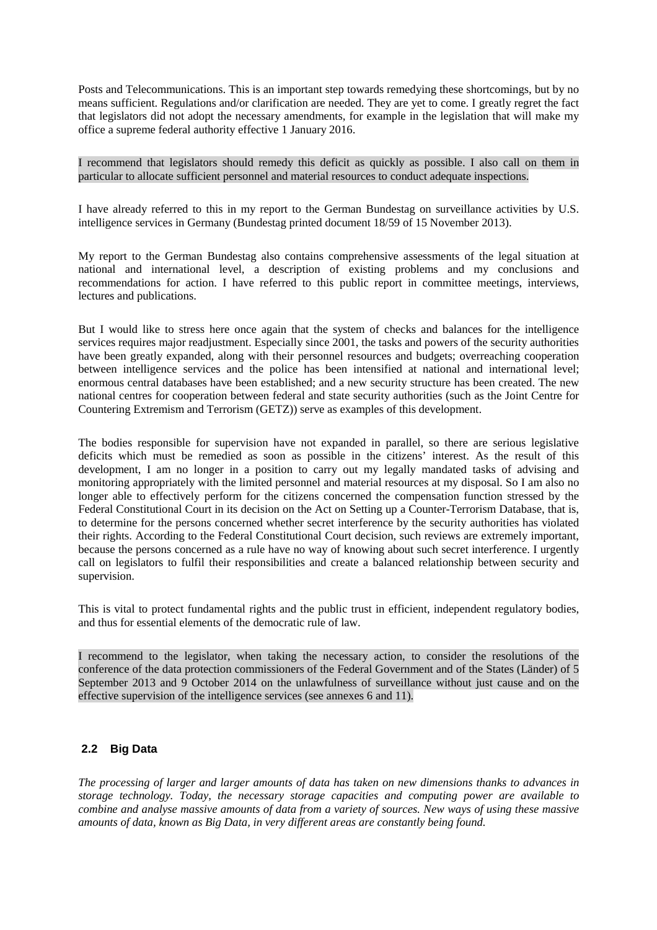Posts and Telecommunications. This is an important step towards remedying these shortcomings, but by no means sufficient. Regulations and/or clarification are needed. They are yet to come. I greatly regret the fact that legislators did not adopt the necessary amendments, for example in the legislation that will make my office a supreme federal authority effective 1 January 2016.

I recommend that legislators should remedy this deficit as quickly as possible. I also call on them in particular to allocate sufficient personnel and material resources to conduct adequate inspections.

I have already referred to this in my report to the German Bundestag on surveillance activities by U.S. intelligence services in Germany (Bundestag printed document 18/59 of 15 November 2013).

My report to the German Bundestag also contains comprehensive assessments of the legal situation at national and international level, a description of existing problems and my conclusions and recommendations for action. I have referred to this public report in committee meetings, interviews, lectures and publications.

But I would like to stress here once again that the system of checks and balances for the intelligence services requires major readjustment. Especially since 2001, the tasks and powers of the security authorities have been greatly expanded, along with their personnel resources and budgets; overreaching cooperation between intelligence services and the police has been intensified at national and international level; enormous central databases have been established; and a new security structure has been created. The new national centres for cooperation between federal and state security authorities (such as the Joint Centre for Countering Extremism and Terrorism (GETZ)) serve as examples of this development.

The bodies responsible for supervision have not expanded in parallel, so there are serious legislative deficits which must be remedied as soon as possible in the citizens' interest. As the result of this development, I am no longer in a position to carry out my legally mandated tasks of advising and monitoring appropriately with the limited personnel and material resources at my disposal. So I am also no longer able to effectively perform for the citizens concerned the compensation function stressed by the Federal Constitutional Court in its decision on the Act on Setting up a Counter-Terrorism Database, that is, to determine for the persons concerned whether secret interference by the security authorities has violated their rights. According to the Federal Constitutional Court decision, such reviews are extremely important, because the persons concerned as a rule have no way of knowing about such secret interference. I urgently call on legislators to fulfil their responsibilities and create a balanced relationship between security and supervision.

This is vital to protect fundamental rights and the public trust in efficient, independent regulatory bodies, and thus for essential elements of the democratic rule of law.

I recommend to the legislator, when taking the necessary action, to consider the resolutions of the conference of the data protection commissioners of the Federal Government and of the States (Länder) of 5 September 2013 and 9 October 2014 on the unlawfulness of surveillance without just cause and on the effective supervision of the intelligence services (see annexes 6 and 11).

# **2.2 Big Data**

*The processing of larger and larger amounts of data has taken on new dimensions thanks to advances in storage technology. Today, the necessary storage capacities and computing power are available to combine and analyse massive amounts of data from a variety of sources. New ways of using these massive amounts of data, known as Big Data, in very different areas are constantly being found.*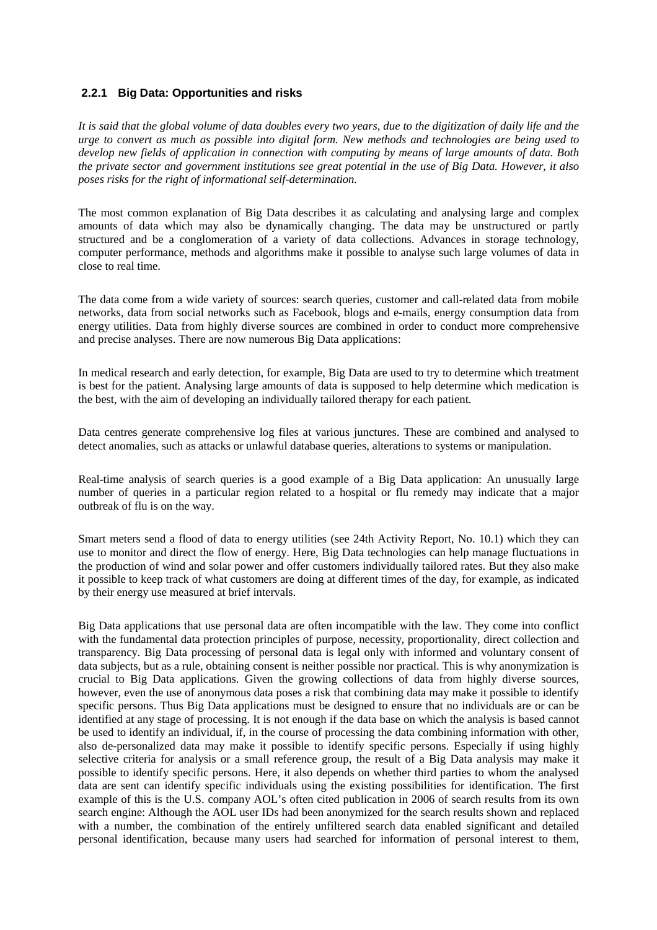# **2.2.1 Big Data: Opportunities and risks**

*It is said that the global volume of data doubles every two years, due to the digitization of daily life and the urge to convert as much as possible into digital form. New methods and technologies are being used to develop new fields of application in connection with computing by means of large amounts of data. Both the private sector and government institutions see great potential in the use of Big Data. However, it also poses risks for the right of informational self-determination.*

The most common explanation of Big Data describes it as calculating and analysing large and complex amounts of data which may also be dynamically changing. The data may be unstructured or partly structured and be a conglomeration of a variety of data collections. Advances in storage technology, computer performance, methods and algorithms make it possible to analyse such large volumes of data in close to real time.

The data come from a wide variety of sources: search queries, customer and call-related data from mobile networks, data from social networks such as Facebook, blogs and e-mails, energy consumption data from energy utilities. Data from highly diverse sources are combined in order to conduct more comprehensive and precise analyses. There are now numerous Big Data applications:

In medical research and early detection, for example, Big Data are used to try to determine which treatment is best for the patient. Analysing large amounts of data is supposed to help determine which medication is the best, with the aim of developing an individually tailored therapy for each patient.

Data centres generate comprehensive log files at various junctures. These are combined and analysed to detect anomalies, such as attacks or unlawful database queries, alterations to systems or manipulation.

Real-time analysis of search queries is a good example of a Big Data application: An unusually large number of queries in a particular region related to a hospital or flu remedy may indicate that a major outbreak of flu is on the way.

Smart meters send a flood of data to energy utilities (see 24th Activity Report, No. 10.1) which they can use to monitor and direct the flow of energy. Here, Big Data technologies can help manage fluctuations in the production of wind and solar power and offer customers individually tailored rates. But they also make it possible to keep track of what customers are doing at different times of the day, for example, as indicated by their energy use measured at brief intervals.

Big Data applications that use personal data are often incompatible with the law. They come into conflict with the fundamental data protection principles of purpose, necessity, proportionality, direct collection and transparency. Big Data processing of personal data is legal only with informed and voluntary consent of data subjects, but as a rule, obtaining consent is neither possible nor practical. This is why anonymization is crucial to Big Data applications. Given the growing collections of data from highly diverse sources, however, even the use of anonymous data poses a risk that combining data may make it possible to identify specific persons. Thus Big Data applications must be designed to ensure that no individuals are or can be identified at any stage of processing. It is not enough if the data base on which the analysis is based cannot be used to identify an individual, if, in the course of processing the data combining information with other, also de-personalized data may make it possible to identify specific persons. Especially if using highly selective criteria for analysis or a small reference group, the result of a Big Data analysis may make it possible to identify specific persons. Here, it also depends on whether third parties to whom the analysed data are sent can identify specific individuals using the existing possibilities for identification. The first example of this is the U.S. company AOL's often cited publication in 2006 of search results from its own search engine: Although the AOL user IDs had been anonymized for the search results shown and replaced with a number, the combination of the entirely unfiltered search data enabled significant and detailed personal identification, because many users had searched for information of personal interest to them,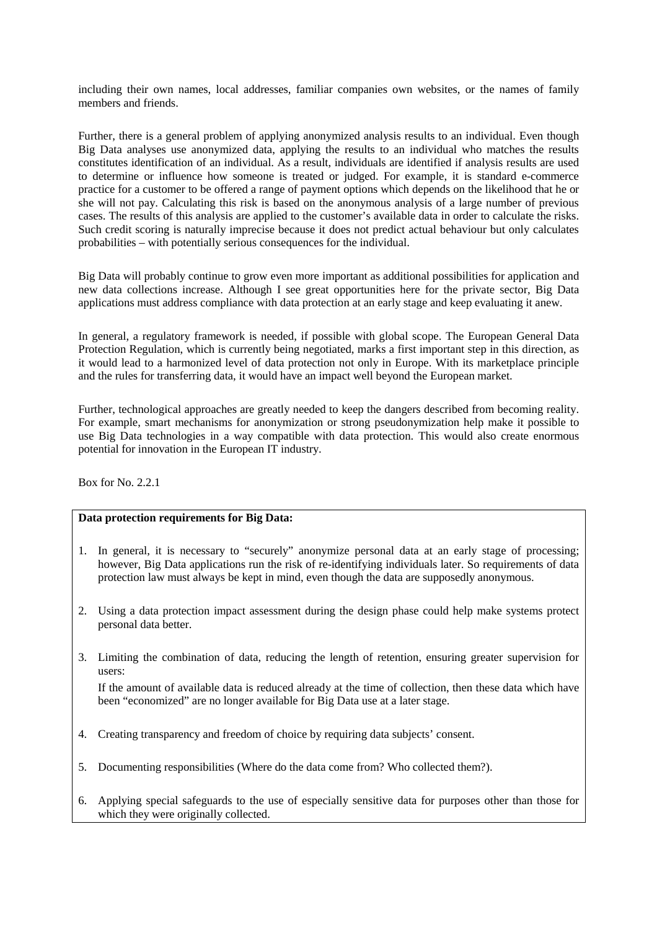including their own names, local addresses, familiar companies own websites, or the names of family members and friends.

Further, there is a general problem of applying anonymized analysis results to an individual. Even though Big Data analyses use anonymized data, applying the results to an individual who matches the results constitutes identification of an individual. As a result, individuals are identified if analysis results are used to determine or influence how someone is treated or judged. For example, it is standard e-commerce practice for a customer to be offered a range of payment options which depends on the likelihood that he or she will not pay. Calculating this risk is based on the anonymous analysis of a large number of previous cases. The results of this analysis are applied to the customer's available data in order to calculate the risks. Such credit scoring is naturally imprecise because it does not predict actual behaviour but only calculates probabilities – with potentially serious consequences for the individual.

Big Data will probably continue to grow even more important as additional possibilities for application and new data collections increase. Although I see great opportunities here for the private sector, Big Data applications must address compliance with data protection at an early stage and keep evaluating it anew.

In general, a regulatory framework is needed, if possible with global scope. The European General Data Protection Regulation, which is currently being negotiated, marks a first important step in this direction, as it would lead to a harmonized level of data protection not only in Europe. With its marketplace principle and the rules for transferring data, it would have an impact well beyond the European market.

Further, technological approaches are greatly needed to keep the dangers described from becoming reality. For example, smart mechanisms for anonymization or strong pseudonymization help make it possible to use Big Data technologies in a way compatible with data protection. This would also create enormous potential for innovation in the European IT industry.

Box for No. 2.2.1

# **Data protection requirements for Big Data:**

- 1. In general, it is necessary to "securely" anonymize personal data at an early stage of processing; however, Big Data applications run the risk of re-identifying individuals later. So requirements of data protection law must always be kept in mind, even though the data are supposedly anonymous.
- 2. Using a data protection impact assessment during the design phase could help make systems protect personal data better.
- 3. Limiting the combination of data, reducing the length of retention, ensuring greater supervision for users:

 If the amount of available data is reduced already at the time of collection, then these data which have been "economized" are no longer available for Big Data use at a later stage.

- 4. Creating transparency and freedom of choice by requiring data subjects' consent.
- 5. Documenting responsibilities (Where do the data come from? Who collected them?).
- 6. Applying special safeguards to the use of especially sensitive data for purposes other than those for which they were originally collected.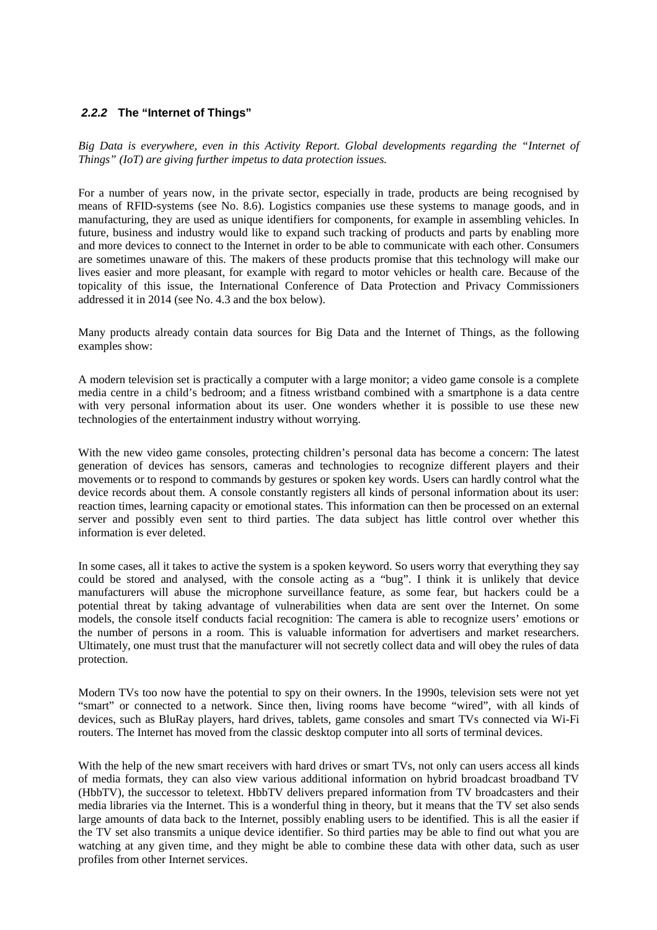# **2.2.2 The "Internet of Things"**

*Big Data is everywhere, even in this Activity Report. Global developments regarding the "Internet of Things" (IoT) are giving further impetus to data protection issues.*

For a number of years now, in the private sector, especially in trade, products are being recognised by means of RFID-systems (see No. 8.6). Logistics companies use these systems to manage goods, and in manufacturing, they are used as unique identifiers for components, for example in assembling vehicles. In future, business and industry would like to expand such tracking of products and parts by enabling more and more devices to connect to the Internet in order to be able to communicate with each other. Consumers are sometimes unaware of this. The makers of these products promise that this technology will make our lives easier and more pleasant, for example with regard to motor vehicles or health care. Because of the topicality of this issue, the International Conference of Data Protection and Privacy Commissioners addressed it in 2014 (see No. 4.3 and the box below).

Many products already contain data sources for Big Data and the Internet of Things, as the following examples show:

A modern television set is practically a computer with a large monitor; a video game console is a complete media centre in a child's bedroom; and a fitness wristband combined with a smartphone is a data centre with very personal information about its user. One wonders whether it is possible to use these new technologies of the entertainment industry without worrying.

With the new video game consoles, protecting children's personal data has become a concern: The latest generation of devices has sensors, cameras and technologies to recognize different players and their movements or to respond to commands by gestures or spoken key words. Users can hardly control what the device records about them. A console constantly registers all kinds of personal information about its user: reaction times, learning capacity or emotional states. This information can then be processed on an external server and possibly even sent to third parties. The data subject has little control over whether this information is ever deleted.

In some cases, all it takes to active the system is a spoken keyword. So users worry that everything they say could be stored and analysed, with the console acting as a "bug". I think it is unlikely that device manufacturers will abuse the microphone surveillance feature, as some fear, but hackers could be a potential threat by taking advantage of vulnerabilities when data are sent over the Internet. On some models, the console itself conducts facial recognition: The camera is able to recognize users' emotions or the number of persons in a room. This is valuable information for advertisers and market researchers. Ultimately, one must trust that the manufacturer will not secretly collect data and will obey the rules of data protection.

Modern TVs too now have the potential to spy on their owners. In the 1990s, television sets were not yet "smart" or connected to a network. Since then, living rooms have become "wired", with all kinds of devices, such as BluRay players, hard drives, tablets, game consoles and smart TVs connected via Wi-Fi routers. The Internet has moved from the classic desktop computer into all sorts of terminal devices.

With the help of the new smart receivers with hard drives or smart TVs, not only can users access all kinds of media formats, they can also view various additional information on hybrid broadcast broadband TV (HbbTV), the successor to teletext. HbbTV delivers prepared information from TV broadcasters and their media libraries via the Internet. This is a wonderful thing in theory, but it means that the TV set also sends large amounts of data back to the Internet, possibly enabling users to be identified. This is all the easier if the TV set also transmits a unique device identifier. So third parties may be able to find out what you are watching at any given time, and they might be able to combine these data with other data, such as user profiles from other Internet services.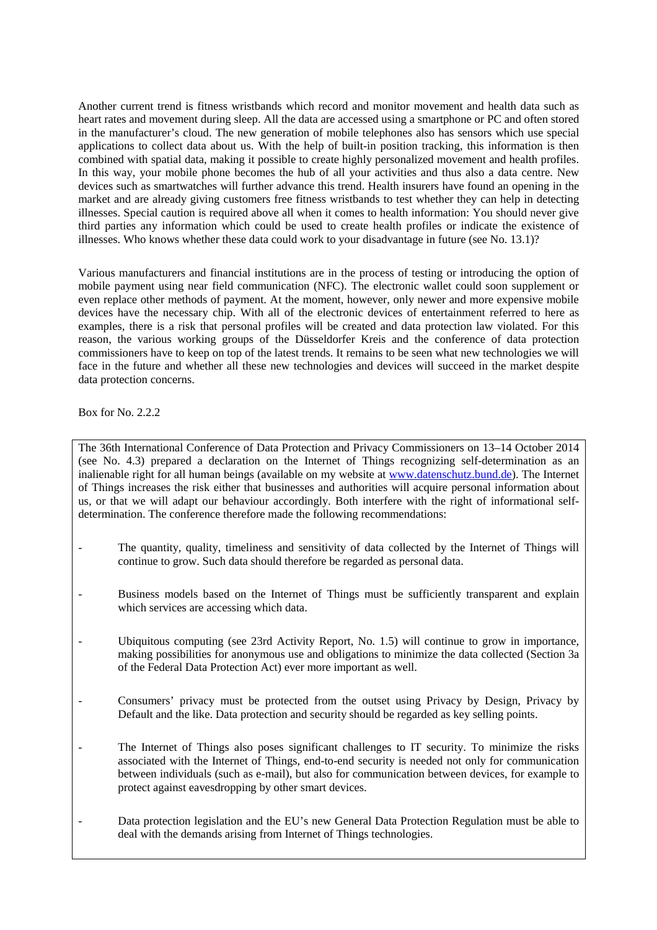Another current trend is fitness wristbands which record and monitor movement and health data such as heart rates and movement during sleep. All the data are accessed using a smartphone or PC and often stored in the manufacturer's cloud. The new generation of mobile telephones also has sensors which use special applications to collect data about us. With the help of built-in position tracking, this information is then combined with spatial data, making it possible to create highly personalized movement and health profiles. In this way, your mobile phone becomes the hub of all your activities and thus also a data centre. New devices such as smartwatches will further advance this trend. Health insurers have found an opening in the market and are already giving customers free fitness wristbands to test whether they can help in detecting illnesses. Special caution is required above all when it comes to health information: You should never give third parties any information which could be used to create health profiles or indicate the existence of illnesses. Who knows whether these data could work to your disadvantage in future (see No. 13.1)?

Various manufacturers and financial institutions are in the process of testing or introducing the option of mobile payment using near field communication (NFC). The electronic wallet could soon supplement or even replace other methods of payment. At the moment, however, only newer and more expensive mobile devices have the necessary chip. With all of the electronic devices of entertainment referred to here as examples, there is a risk that personal profiles will be created and data protection law violated. For this reason, the various working groups of the Düsseldorfer Kreis and the conference of data protection commissioners have to keep on top of the latest trends. It remains to be seen what new technologies we will face in the future and whether all these new technologies and devices will succeed in the market despite data protection concerns.

Box for No. 2.2.2

The 36th International Conference of Data Protection and Privacy Commissioners on 13–14 October 2014 (see No. 4.3) prepared a declaration on the Internet of Things recognizing self-determination as an inalienable right for all human beings (available on my website at www.datenschutz.bund.de). The Internet of Things increases the risk either that businesses and authorities will acquire personal information about us, or that we will adapt our behaviour accordingly. Both interfere with the right of informational selfdetermination. The conference therefore made the following recommendations:

- The quantity, quality, timeliness and sensitivity of data collected by the Internet of Things will continue to grow. Such data should therefore be regarded as personal data.
- Business models based on the Internet of Things must be sufficiently transparent and explain which services are accessing which data.
- Ubiquitous computing (see 23rd Activity Report, No. 1.5) will continue to grow in importance, making possibilities for anonymous use and obligations to minimize the data collected (Section 3a of the Federal Data Protection Act) ever more important as well.
- Consumers' privacy must be protected from the outset using Privacy by Design, Privacy by Default and the like. Data protection and security should be regarded as key selling points.
- The Internet of Things also poses significant challenges to IT security. To minimize the risks associated with the Internet of Things, end-to-end security is needed not only for communication between individuals (such as e-mail), but also for communication between devices, for example to protect against eavesdropping by other smart devices.
- Data protection legislation and the EU's new General Data Protection Regulation must be able to deal with the demands arising from Internet of Things technologies.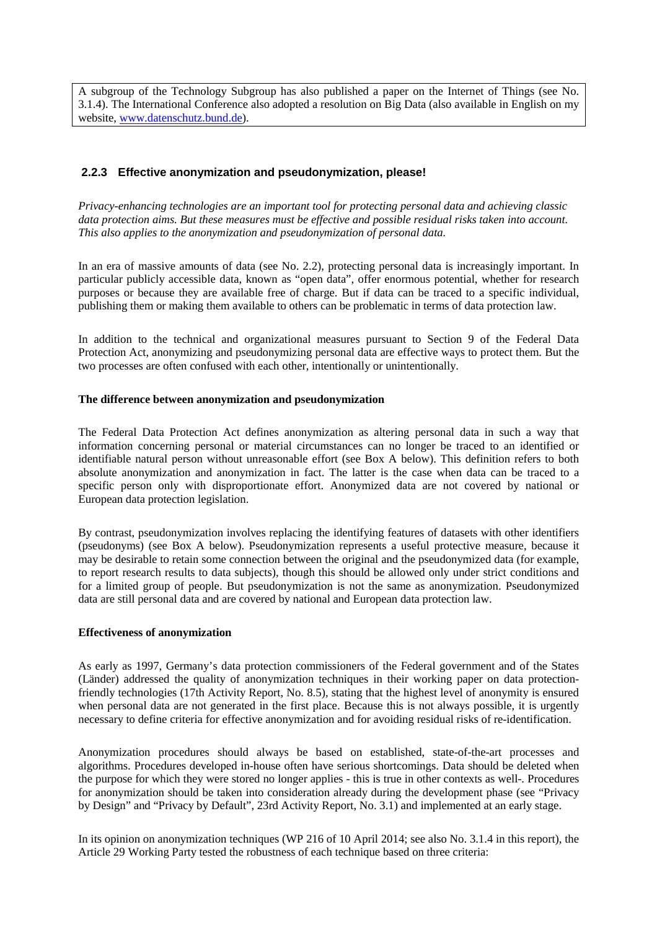A subgroup of the Technology Subgroup has also published a paper on the Internet of Things (see No. 3.1.4). The International Conference also adopted a resolution on Big Data (also available in English on my website, www.datenschutz.bund.de).

# **2.2.3 Effective anonymization and pseudonymization, please!**

*Privacy-enhancing technologies are an important tool for protecting personal data and achieving classic data protection aims. But these measures must be effective and possible residual risks taken into account. This also applies to the anonymization and pseudonymization of personal data.*

In an era of massive amounts of data (see No. 2.2), protecting personal data is increasingly important. In particular publicly accessible data, known as "open data", offer enormous potential, whether for research purposes or because they are available free of charge. But if data can be traced to a specific individual, publishing them or making them available to others can be problematic in terms of data protection law.

In addition to the technical and organizational measures pursuant to Section 9 of the Federal Data Protection Act, anonymizing and pseudonymizing personal data are effective ways to protect them. But the two processes are often confused with each other, intentionally or unintentionally.

#### **The difference between anonymization and pseudonymization**

The Federal Data Protection Act defines anonymization as altering personal data in such a way that information concerning personal or material circumstances can no longer be traced to an identified or identifiable natural person without unreasonable effort (see Box A below). This definition refers to both absolute anonymization and anonymization in fact. The latter is the case when data can be traced to a specific person only with disproportionate effort. Anonymized data are not covered by national or European data protection legislation.

By contrast, pseudonymization involves replacing the identifying features of datasets with other identifiers (pseudonyms) (see Box A below). Pseudonymization represents a useful protective measure, because it may be desirable to retain some connection between the original and the pseudonymized data (for example, to report research results to data subjects), though this should be allowed only under strict conditions and for a limited group of people. But pseudonymization is not the same as anonymization. Pseudonymized data are still personal data and are covered by national and European data protection law.

#### **Effectiveness of anonymization**

As early as 1997, Germany's data protection commissioners of the Federal government and of the States (Länder) addressed the quality of anonymization techniques in their working paper on data protectionfriendly technologies (17th Activity Report, No. 8.5), stating that the highest level of anonymity is ensured when personal data are not generated in the first place. Because this is not always possible, it is urgently necessary to define criteria for effective anonymization and for avoiding residual risks of re-identification.

Anonymization procedures should always be based on established, state-of-the-art processes and algorithms. Procedures developed in-house often have serious shortcomings. Data should be deleted when the purpose for which they were stored no longer applies - this is true in other contexts as well-. Procedures for anonymization should be taken into consideration already during the development phase (see "Privacy by Design" and "Privacy by Default", 23rd Activity Report, No. 3.1) and implemented at an early stage.

In its opinion on anonymization techniques (WP 216 of 10 April 2014; see also No. 3.1.4 in this report), the Article 29 Working Party tested the robustness of each technique based on three criteria: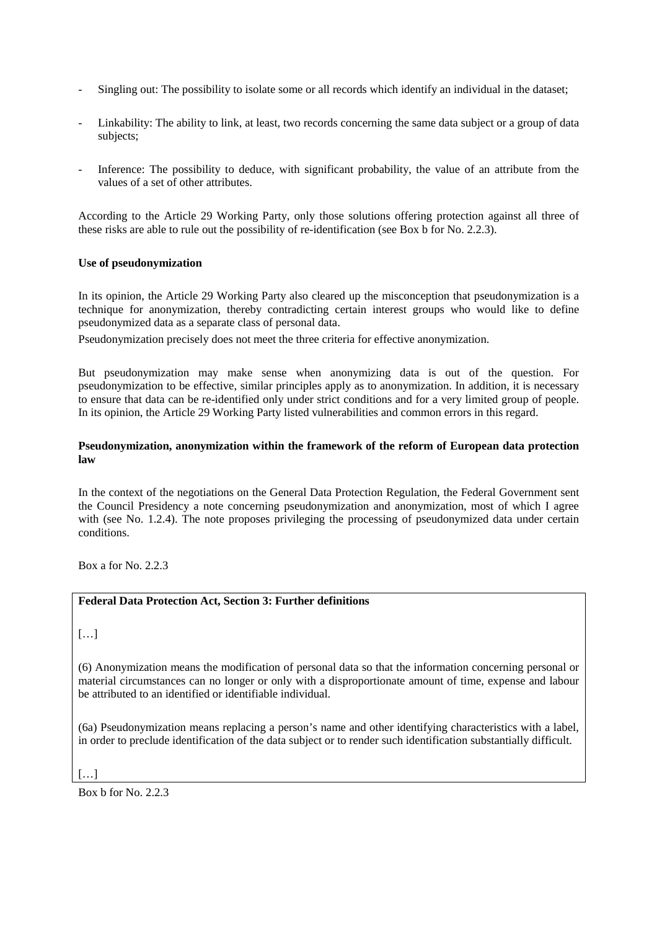- Singling out: The possibility to isolate some or all records which identify an individual in the dataset;
- Linkability: The ability to link, at least, two records concerning the same data subject or a group of data subjects;
- Inference: The possibility to deduce, with significant probability, the value of an attribute from the values of a set of other attributes.

According to the Article 29 Working Party, only those solutions offering protection against all three of these risks are able to rule out the possibility of re-identification (see Box b for No. 2.2.3).

#### **Use of pseudonymization**

In its opinion, the Article 29 Working Party also cleared up the misconception that pseudonymization is a technique for anonymization, thereby contradicting certain interest groups who would like to define pseudonymized data as a separate class of personal data.

Pseudonymization precisely does not meet the three criteria for effective anonymization.

But pseudonymization may make sense when anonymizing data is out of the question. For pseudonymization to be effective, similar principles apply as to anonymization. In addition, it is necessary to ensure that data can be re-identified only under strict conditions and for a very limited group of people. In its opinion, the Article 29 Working Party listed vulnerabilities and common errors in this regard.

#### **Pseudonymization, anonymization within the framework of the reform of European data protection law**

In the context of the negotiations on the General Data Protection Regulation, the Federal Government sent the Council Presidency a note concerning pseudonymization and anonymization, most of which I agree with (see No. 1.2.4). The note proposes privileging the processing of pseudonymized data under certain conditions.

Box a for No. 2.2.3

# **Federal Data Protection Act, Section 3: Further definitions**

(6) Anonymization means the modification of personal data so that the information concerning personal or material circumstances can no longer or only with a disproportionate amount of time, expense and labour be attributed to an identified or identifiable individual.

(6a) Pseudonymization means replacing a person's name and other identifying characteristics with a label, in order to preclude identification of the data subject or to render such identification substantially difficult.

 $[\ldots]$ 

Box  $h$  for No. 2.2.3

 $[...]$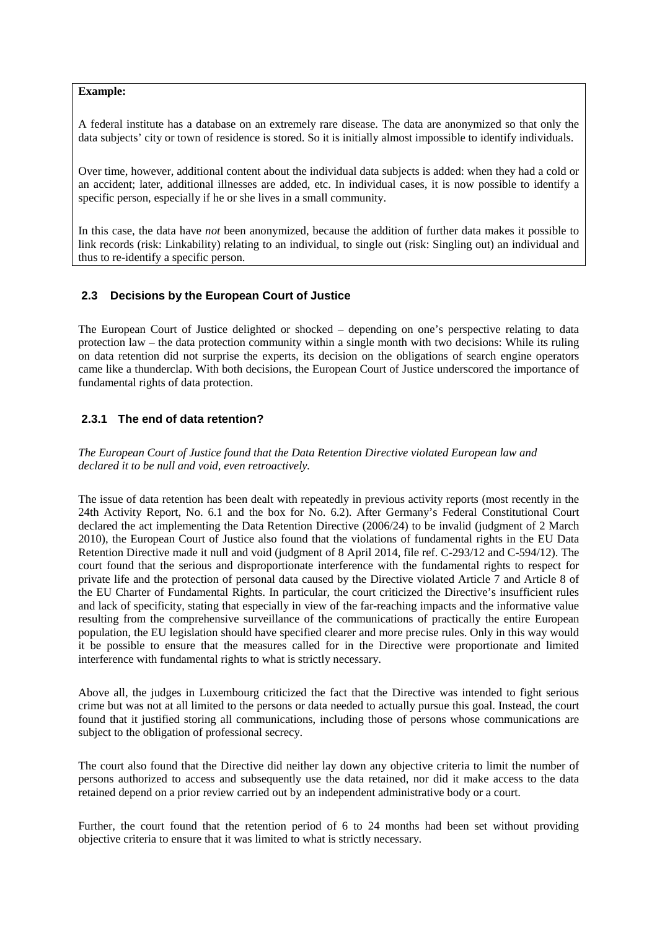**Example:**

A federal institute has a database on an extremely rare disease. The data are anonymized so that only the data subjects' city or town of residence is stored. So it is initially almost impossible to identify individuals.

Over time, however, additional content about the individual data subjects is added: when they had a cold or an accident; later, additional illnesses are added, etc. In individual cases, it is now possible to identify a specific person, especially if he or she lives in a small community.

In this case, the data have *not* been anonymized, because the addition of further data makes it possible to link records (risk: Linkability) relating to an individual, to single out (risk: Singling out) an individual and thus to re-identify a specific person.

#### **2.3 Decisions by the European Court of Justice**

The European Court of Justice delighted or shocked – depending on one's perspective relating to data protection law – the data protection community within a single month with two decisions: While its ruling on data retention did not surprise the experts, its decision on the obligations of search engine operators came like a thunderclap. With both decisions, the European Court of Justice underscored the importance of fundamental rights of data protection.

#### **2.3.1 The end of data retention?**

*The European Court of Justice found that the Data Retention Directive violated European law and declared it to be null and void, even retroactively.*

The issue of data retention has been dealt with repeatedly in previous activity reports (most recently in the 24th Activity Report, No. 6.1 and the box for No. 6.2). After Germany's Federal Constitutional Court declared the act implementing the Data Retention Directive (2006/24) to be invalid (judgment of 2 March 2010), the European Court of Justice also found that the violations of fundamental rights in the EU Data Retention Directive made it null and void (judgment of 8 April 2014, file ref. C-293/12 and C-594/12). The court found that the serious and disproportionate interference with the fundamental rights to respect for private life and the protection of personal data caused by the Directive violated Article 7 and Article 8 of the EU Charter of Fundamental Rights. In particular, the court criticized the Directive's insufficient rules and lack of specificity, stating that especially in view of the far-reaching impacts and the informative value resulting from the comprehensive surveillance of the communications of practically the entire European population, the EU legislation should have specified clearer and more precise rules. Only in this way would it be possible to ensure that the measures called for in the Directive were proportionate and limited interference with fundamental rights to what is strictly necessary.

Above all, the judges in Luxembourg criticized the fact that the Directive was intended to fight serious crime but was not at all limited to the persons or data needed to actually pursue this goal. Instead, the court found that it justified storing all communications, including those of persons whose communications are subject to the obligation of professional secrecy.

The court also found that the Directive did neither lay down any objective criteria to limit the number of persons authorized to access and subsequently use the data retained, nor did it make access to the data retained depend on a prior review carried out by an independent administrative body or a court.

Further, the court found that the retention period of 6 to 24 months had been set without providing objective criteria to ensure that it was limited to what is strictly necessary.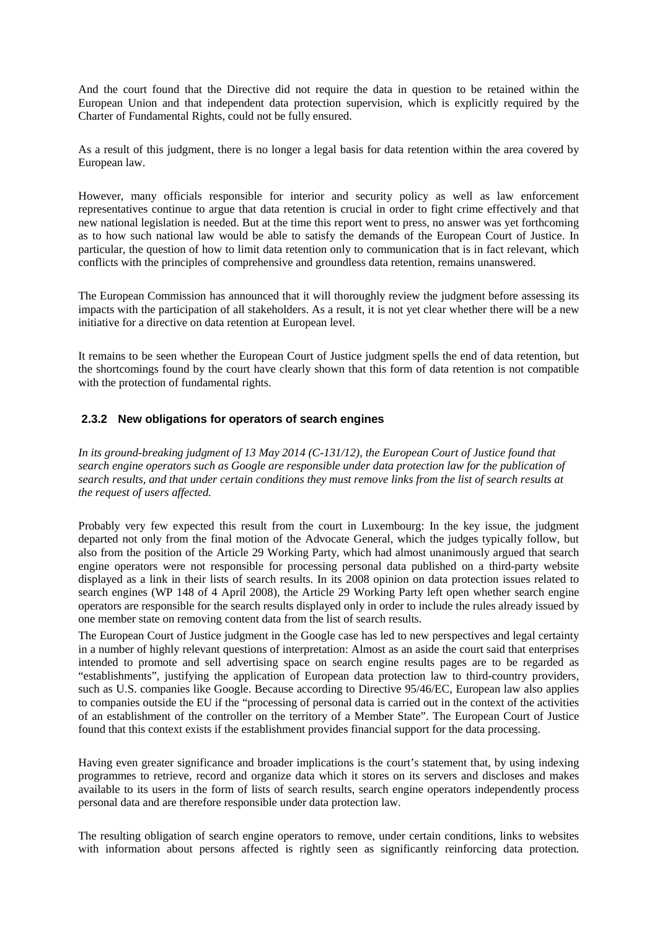And the court found that the Directive did not require the data in question to be retained within the European Union and that independent data protection supervision, which is explicitly required by the Charter of Fundamental Rights, could not be fully ensured.

As a result of this judgment, there is no longer a legal basis for data retention within the area covered by European law.

However, many officials responsible for interior and security policy as well as law enforcement representatives continue to argue that data retention is crucial in order to fight crime effectively and that new national legislation is needed. But at the time this report went to press, no answer was yet forthcoming as to how such national law would be able to satisfy the demands of the European Court of Justice. In particular, the question of how to limit data retention only to communication that is in fact relevant, which conflicts with the principles of comprehensive and groundless data retention, remains unanswered.

The European Commission has announced that it will thoroughly review the judgment before assessing its impacts with the participation of all stakeholders. As a result, it is not yet clear whether there will be a new initiative for a directive on data retention at European level.

It remains to be seen whether the European Court of Justice judgment spells the end of data retention, but the shortcomings found by the court have clearly shown that this form of data retention is not compatible with the protection of fundamental rights.

# **2.3.2 New obligations for operators of search engines**

*In its ground-breaking judgment of 13 May 2014 (C-131/12), the European Court of Justice found that search engine operators such as Google are responsible under data protection law for the publication of search results, and that under certain conditions they must remove links from the list of search results at the request of users affected.*

Probably very few expected this result from the court in Luxembourg: In the key issue, the judgment departed not only from the final motion of the Advocate General, which the judges typically follow, but also from the position of the Article 29 Working Party, which had almost unanimously argued that search engine operators were not responsible for processing personal data published on a third-party website displayed as a link in their lists of search results. In its 2008 opinion on data protection issues related to search engines (WP 148 of 4 April 2008), the Article 29 Working Party left open whether search engine operators are responsible for the search results displayed only in order to include the rules already issued by one member state on removing content data from the list of search results.

The European Court of Justice judgment in the Google case has led to new perspectives and legal certainty in a number of highly relevant questions of interpretation: Almost as an aside the court said that enterprises intended to promote and sell advertising space on search engine results pages are to be regarded as "establishments", justifying the application of European data protection law to third-country providers, such as U.S. companies like Google. Because according to Directive 95/46/EC, European law also applies to companies outside the EU if the "processing of personal data is carried out in the context of the activities of an establishment of the controller on the territory of a Member State". The European Court of Justice found that this context exists if the establishment provides financial support for the data processing.

Having even greater significance and broader implications is the court's statement that, by using indexing programmes to retrieve, record and organize data which it stores on its servers and discloses and makes available to its users in the form of lists of search results, search engine operators independently process personal data and are therefore responsible under data protection law.

The resulting obligation of search engine operators to remove, under certain conditions, links to websites with information about persons affected is rightly seen as significantly reinforcing data protection.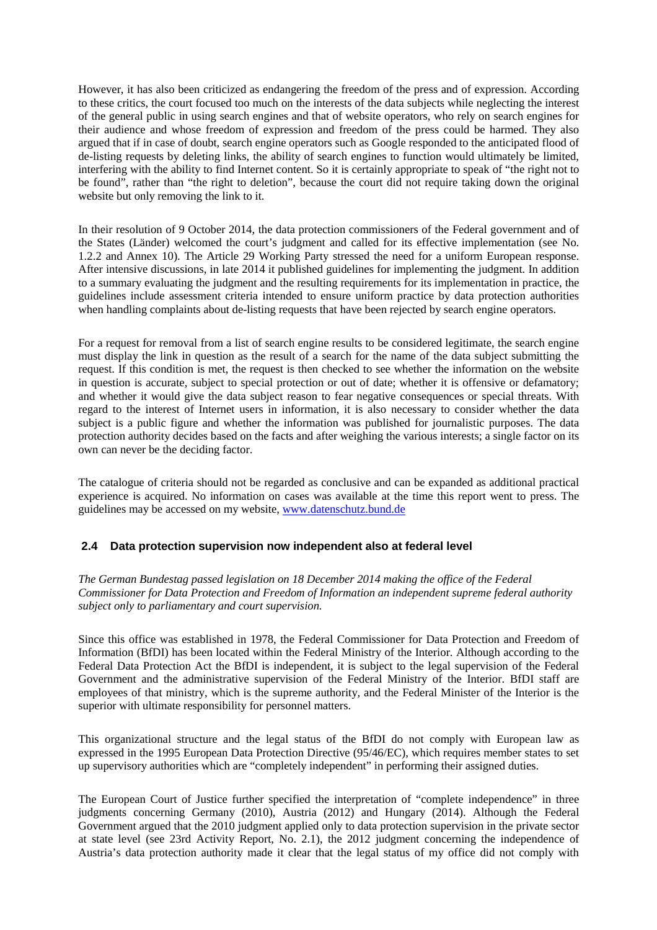However, it has also been criticized as endangering the freedom of the press and of expression. According to these critics, the court focused too much on the interests of the data subjects while neglecting the interest of the general public in using search engines and that of website operators, who rely on search engines for their audience and whose freedom of expression and freedom of the press could be harmed. They also argued that if in case of doubt, search engine operators such as Google responded to the anticipated flood of de-listing requests by deleting links, the ability of search engines to function would ultimately be limited, interfering with the ability to find Internet content. So it is certainly appropriate to speak of "the right not to be found", rather than "the right to deletion", because the court did not require taking down the original website but only removing the link to it.

In their resolution of 9 October 2014, the data protection commissioners of the Federal government and of the States (Länder) welcomed the court's judgment and called for its effective implementation (see No. 1.2.2 and Annex 10). The Article 29 Working Party stressed the need for a uniform European response. After intensive discussions, in late 2014 it published guidelines for implementing the judgment. In addition to a summary evaluating the judgment and the resulting requirements for its implementation in practice, the guidelines include assessment criteria intended to ensure uniform practice by data protection authorities when handling complaints about de-listing requests that have been rejected by search engine operators.

For a request for removal from a list of search engine results to be considered legitimate, the search engine must display the link in question as the result of a search for the name of the data subject submitting the request. If this condition is met, the request is then checked to see whether the information on the website in question is accurate, subject to special protection or out of date; whether it is offensive or defamatory; and whether it would give the data subject reason to fear negative consequences or special threats. With regard to the interest of Internet users in information, it is also necessary to consider whether the data subject is a public figure and whether the information was published for journalistic purposes. The data protection authority decides based on the facts and after weighing the various interests; a single factor on its own can never be the deciding factor.

The catalogue of criteria should not be regarded as conclusive and can be expanded as additional practical experience is acquired. No information on cases was available at the time this report went to press. The guidelines may be accessed on my website, www.datenschutz.bund.de

# **2.4 Data protection supervision now independent also at federal level**

*The German Bundestag passed legislation on 18 December 2014 making the office of the Federal Commissioner for Data Protection and Freedom of Information an independent supreme federal authority subject only to parliamentary and court supervision.*

Since this office was established in 1978, the Federal Commissioner for Data Protection and Freedom of Information (BfDI) has been located within the Federal Ministry of the Interior. Although according to the Federal Data Protection Act the BfDI is independent, it is subject to the legal supervision of the Federal Government and the administrative supervision of the Federal Ministry of the Interior. BfDI staff are employees of that ministry, which is the supreme authority, and the Federal Minister of the Interior is the superior with ultimate responsibility for personnel matters.

This organizational structure and the legal status of the BfDI do not comply with European law as expressed in the 1995 European Data Protection Directive (95/46/EC), which requires member states to set up supervisory authorities which are "completely independent" in performing their assigned duties.

The European Court of Justice further specified the interpretation of "complete independence" in three judgments concerning Germany (2010), Austria (2012) and Hungary (2014). Although the Federal Government argued that the 2010 judgment applied only to data protection supervision in the private sector at state level (see 23rd Activity Report, No. 2.1), the 2012 judgment concerning the independence of Austria's data protection authority made it clear that the legal status of my office did not comply with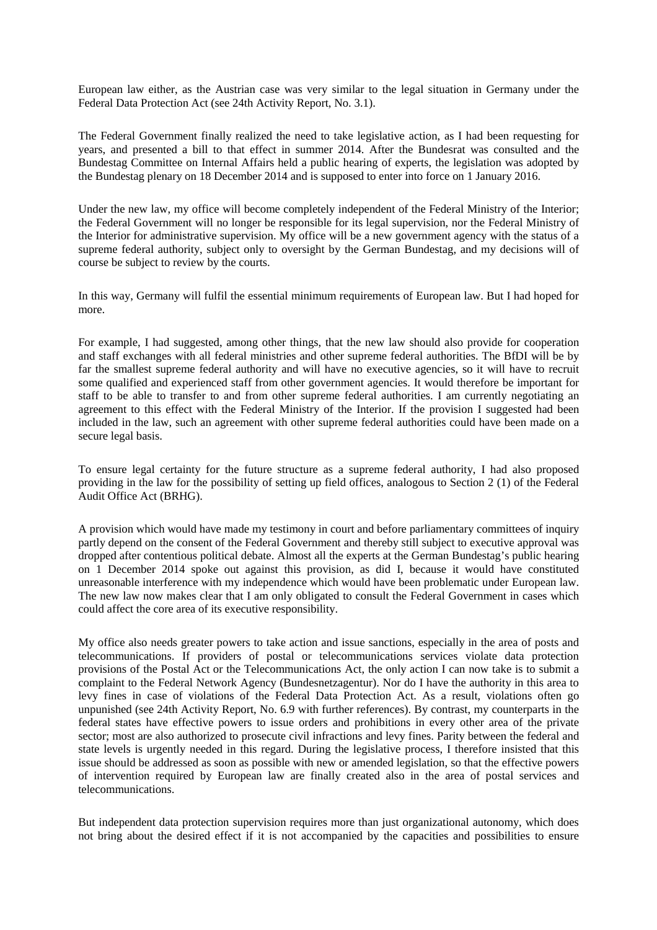European law either, as the Austrian case was very similar to the legal situation in Germany under the Federal Data Protection Act (see 24th Activity Report, No. 3.1).

The Federal Government finally realized the need to take legislative action, as I had been requesting for years, and presented a bill to that effect in summer 2014. After the Bundesrat was consulted and the Bundestag Committee on Internal Affairs held a public hearing of experts, the legislation was adopted by the Bundestag plenary on 18 December 2014 and is supposed to enter into force on 1 January 2016.

Under the new law, my office will become completely independent of the Federal Ministry of the Interior; the Federal Government will no longer be responsible for its legal supervision, nor the Federal Ministry of the Interior for administrative supervision. My office will be a new government agency with the status of a supreme federal authority, subject only to oversight by the German Bundestag, and my decisions will of course be subject to review by the courts.

In this way, Germany will fulfil the essential minimum requirements of European law. But I had hoped for more.

For example, I had suggested, among other things, that the new law should also provide for cooperation and staff exchanges with all federal ministries and other supreme federal authorities. The BfDI will be by far the smallest supreme federal authority and will have no executive agencies, so it will have to recruit some qualified and experienced staff from other government agencies. It would therefore be important for staff to be able to transfer to and from other supreme federal authorities. I am currently negotiating an agreement to this effect with the Federal Ministry of the Interior. If the provision I suggested had been included in the law, such an agreement with other supreme federal authorities could have been made on a secure legal basis.

To ensure legal certainty for the future structure as a supreme federal authority, I had also proposed providing in the law for the possibility of setting up field offices, analogous to Section 2 (1) of the Federal Audit Office Act (BRHG).

A provision which would have made my testimony in court and before parliamentary committees of inquiry partly depend on the consent of the Federal Government and thereby still subject to executive approval was dropped after contentious political debate. Almost all the experts at the German Bundestag's public hearing on 1 December 2014 spoke out against this provision, as did I, because it would have constituted unreasonable interference with my independence which would have been problematic under European law. The new law now makes clear that I am only obligated to consult the Federal Government in cases which could affect the core area of its executive responsibility.

My office also needs greater powers to take action and issue sanctions, especially in the area of posts and telecommunications. If providers of postal or telecommunications services violate data protection provisions of the Postal Act or the Telecommunications Act, the only action I can now take is to submit a complaint to the Federal Network Agency (Bundesnetzagentur). Nor do I have the authority in this area to levy fines in case of violations of the Federal Data Protection Act. As a result, violations often go unpunished (see 24th Activity Report, No. 6.9 with further references). By contrast, my counterparts in the federal states have effective powers to issue orders and prohibitions in every other area of the private sector; most are also authorized to prosecute civil infractions and levy fines. Parity between the federal and state levels is urgently needed in this regard. During the legislative process, I therefore insisted that this issue should be addressed as soon as possible with new or amended legislation, so that the effective powers of intervention required by European law are finally created also in the area of postal services and telecommunications.

But independent data protection supervision requires more than just organizational autonomy, which does not bring about the desired effect if it is not accompanied by the capacities and possibilities to ensure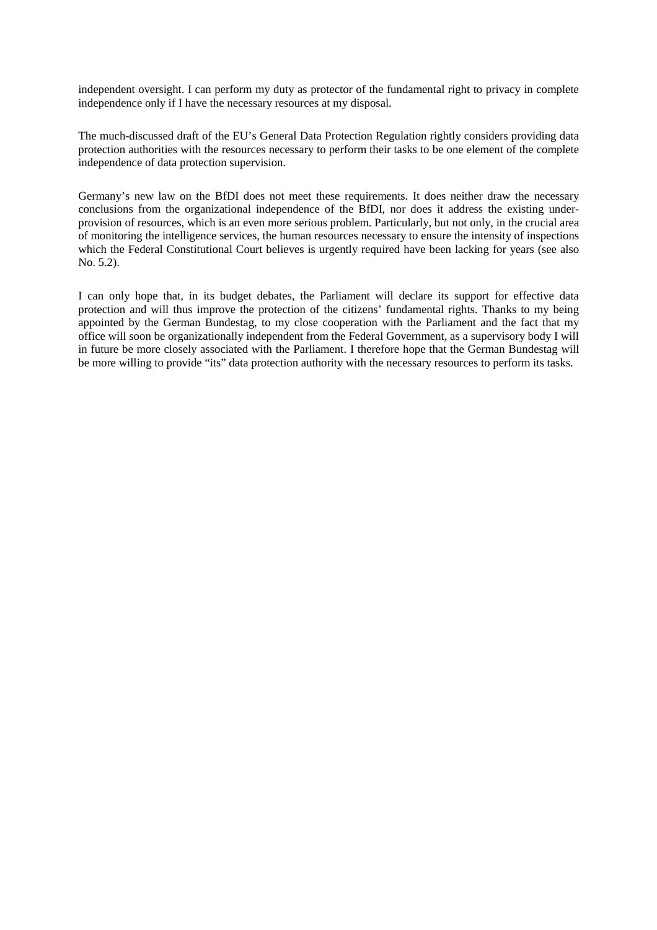independent oversight. I can perform my duty as protector of the fundamental right to privacy in complete independence only if I have the necessary resources at my disposal.

The much-discussed draft of the EU's General Data Protection Regulation rightly considers providing data protection authorities with the resources necessary to perform their tasks to be one element of the complete independence of data protection supervision.

Germany's new law on the BfDI does not meet these requirements. It does neither draw the necessary conclusions from the organizational independence of the BfDI, nor does it address the existing underprovision of resources, which is an even more serious problem. Particularly, but not only, in the crucial area of monitoring the intelligence services, the human resources necessary to ensure the intensity of inspections which the Federal Constitutional Court believes is urgently required have been lacking for years (see also No. 5.2).

I can only hope that, in its budget debates, the Parliament will declare its support for effective data protection and will thus improve the protection of the citizens' fundamental rights. Thanks to my being appointed by the German Bundestag, to my close cooperation with the Parliament and the fact that my office will soon be organizationally independent from the Federal Government, as a supervisory body I will in future be more closely associated with the Parliament. I therefore hope that the German Bundestag will be more willing to provide "its" data protection authority with the necessary resources to perform its tasks.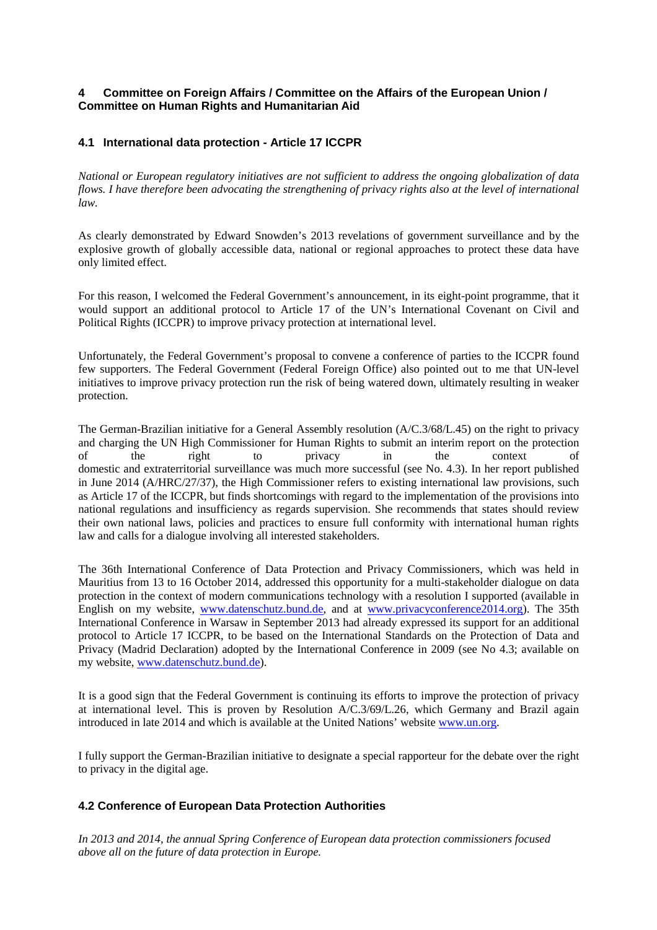# **4 Committee on Foreign Affairs / Committee on the Affairs of the European Union / Committee on Human Rights and Humanitarian Aid**

# **4.1 International data protection - Article 17 ICCPR**

*National or European regulatory initiatives are not sufficient to address the ongoing globalization of data flows. I have therefore been advocating the strengthening of privacy rights also at the level of international law.*

As clearly demonstrated by Edward Snowden's 2013 revelations of government surveillance and by the explosive growth of globally accessible data, national or regional approaches to protect these data have only limited effect.

For this reason, I welcomed the Federal Government's announcement, in its eight-point programme, that it would support an additional protocol to Article 17 of the UN's International Covenant on Civil and Political Rights (ICCPR) to improve privacy protection at international level.

Unfortunately, the Federal Government's proposal to convene a conference of parties to the ICCPR found few supporters. The Federal Government (Federal Foreign Office) also pointed out to me that UN-level initiatives to improve privacy protection run the risk of being watered down, ultimately resulting in weaker protection.

The German-Brazilian initiative for a General Assembly resolution (A/C.3/68/L.45) on the right to privacy and charging the UN High Commissioner for Human Rights to submit an interim report on the protection of the right to privacy in the context of domestic and extraterritorial surveillance was much more successful (see No. 4.3). In her report published in June 2014 (A/HRC/27/37), the High Commissioner refers to existing international law provisions, such as Article 17 of the ICCPR, but finds shortcomings with regard to the implementation of the provisions into national regulations and insufficiency as regards supervision. She recommends that states should review their own national laws, policies and practices to ensure full conformity with international human rights law and calls for a dialogue involving all interested stakeholders.

The 36th International Conference of Data Protection and Privacy Commissioners, which was held in Mauritius from 13 to 16 October 2014, addressed this opportunity for a multi-stakeholder dialogue on data protection in the context of modern communications technology with a resolution I supported (available in English on my website, www.datenschutz.bund.de, and at www.privacyconference2014.org). The 35th International Conference in Warsaw in September 2013 had already expressed its support for an additional protocol to Article 17 ICCPR, to be based on the International Standards on the Protection of Data and Privacy (Madrid Declaration) adopted by the International Conference in 2009 (see No 4.3; available on my website, www.datenschutz.bund.de).

It is a good sign that the Federal Government is continuing its efforts to improve the protection of privacy at international level. This is proven by Resolution A/C.3/69/L.26, which Germany and Brazil again introduced in late 2014 and which is available at the United Nations' website www.un.org.

I fully support the German-Brazilian initiative to designate a special rapporteur for the debate over the right to privacy in the digital age.

# **4.2 Conference of European Data Protection Authorities**

*In 2013 and 2014, the annual Spring Conference of European data protection commissioners focused above all on the future of data protection in Europe.*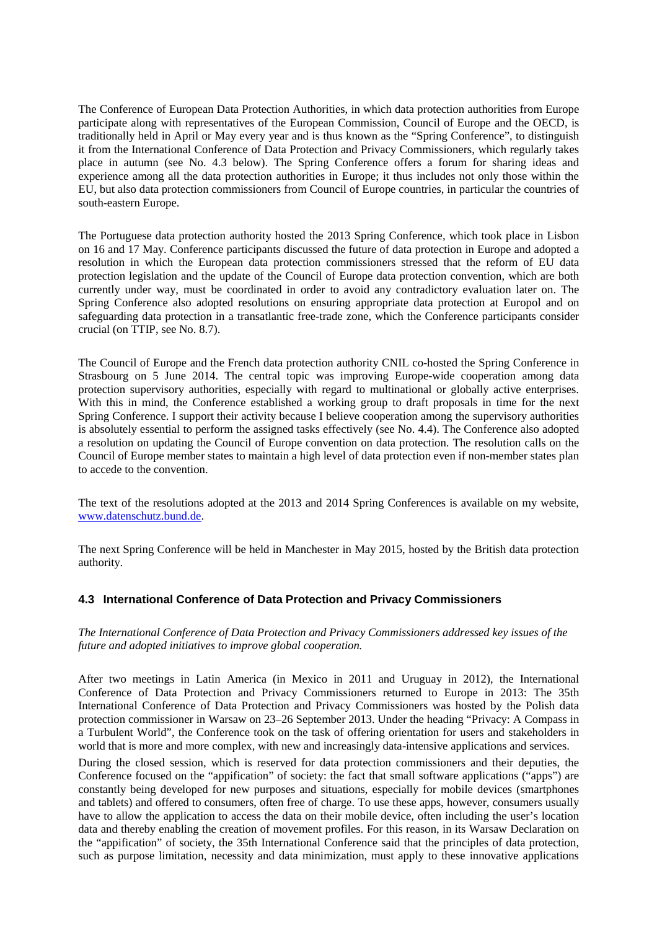The Conference of European Data Protection Authorities, in which data protection authorities from Europe participate along with representatives of the European Commission, Council of Europe and the OECD, is traditionally held in April or May every year and is thus known as the "Spring Conference", to distinguish it from the International Conference of Data Protection and Privacy Commissioners, which regularly takes place in autumn (see No. 4.3 below). The Spring Conference offers a forum for sharing ideas and experience among all the data protection authorities in Europe; it thus includes not only those within the EU, but also data protection commissioners from Council of Europe countries, in particular the countries of south-eastern Europe.

The Portuguese data protection authority hosted the 2013 Spring Conference, which took place in Lisbon on 16 and 17 May. Conference participants discussed the future of data protection in Europe and adopted a resolution in which the European data protection commissioners stressed that the reform of EU data protection legislation and the update of the Council of Europe data protection convention, which are both currently under way, must be coordinated in order to avoid any contradictory evaluation later on. The Spring Conference also adopted resolutions on ensuring appropriate data protection at Europol and on safeguarding data protection in a transatlantic free-trade zone, which the Conference participants consider crucial (on TTIP, see No. 8.7).

The Council of Europe and the French data protection authority CNIL co-hosted the Spring Conference in Strasbourg on 5 June 2014. The central topic was improving Europe-wide cooperation among data protection supervisory authorities, especially with regard to multinational or globally active enterprises. With this in mind, the Conference established a working group to draft proposals in time for the next Spring Conference. I support their activity because I believe cooperation among the supervisory authorities is absolutely essential to perform the assigned tasks effectively (see No. 4.4). The Conference also adopted a resolution on updating the Council of Europe convention on data protection. The resolution calls on the Council of Europe member states to maintain a high level of data protection even if non-member states plan to accede to the convention.

The text of the resolutions adopted at the 2013 and 2014 Spring Conferences is available on my website, www.datenschutz.bund.de.

The next Spring Conference will be held in Manchester in May 2015, hosted by the British data protection authority.

# **4.3 International Conference of Data Protection and Privacy Commissioners**

*The International Conference of Data Protection and Privacy Commissioners addressed key issues of the future and adopted initiatives to improve global cooperation.*

After two meetings in Latin America (in Mexico in 2011 and Uruguay in 2012), the International Conference of Data Protection and Privacy Commissioners returned to Europe in 2013: The 35th International Conference of Data Protection and Privacy Commissioners was hosted by the Polish data protection commissioner in Warsaw on 23–26 September 2013. Under the heading "Privacy: A Compass in a Turbulent World", the Conference took on the task of offering orientation for users and stakeholders in world that is more and more complex, with new and increasingly data-intensive applications and services.

During the closed session, which is reserved for data protection commissioners and their deputies, the Conference focused on the "appification" of society: the fact that small software applications ("apps") are constantly being developed for new purposes and situations, especially for mobile devices (smartphones and tablets) and offered to consumers, often free of charge. To use these apps, however, consumers usually have to allow the application to access the data on their mobile device, often including the user's location data and thereby enabling the creation of movement profiles. For this reason, in its Warsaw Declaration on the "appification" of society, the 35th International Conference said that the principles of data protection, such as purpose limitation, necessity and data minimization, must apply to these innovative applications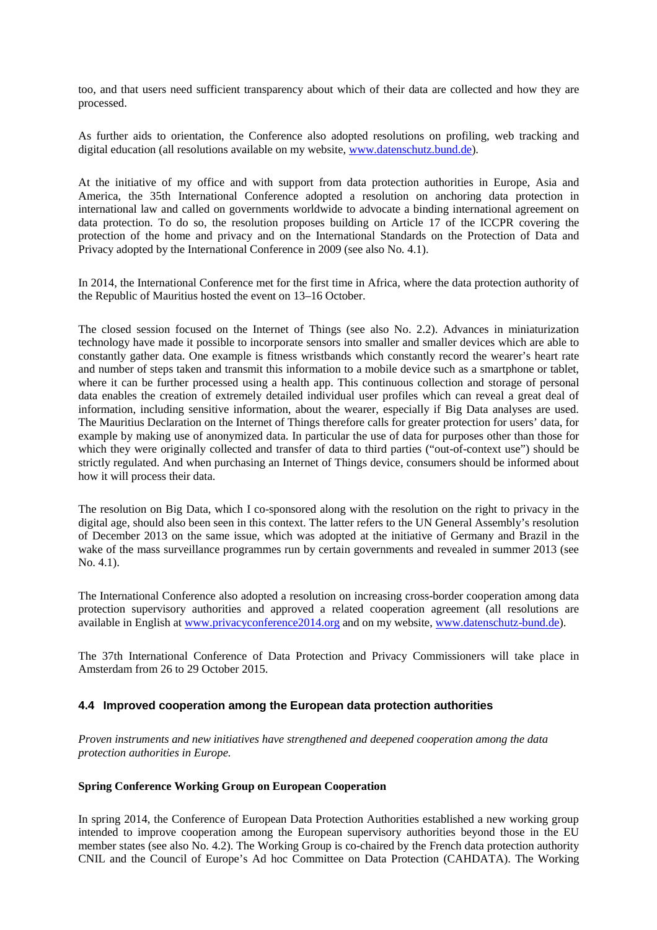too, and that users need sufficient transparency about which of their data are collected and how they are processed.

As further aids to orientation, the Conference also adopted resolutions on profiling, web tracking and digital education (all resolutions available on my website, www.datenschutz.bund.de).

At the initiative of my office and with support from data protection authorities in Europe, Asia and America, the 35th International Conference adopted a resolution on anchoring data protection in international law and called on governments worldwide to advocate a binding international agreement on data protection. To do so, the resolution proposes building on Article 17 of the ICCPR covering the protection of the home and privacy and on the International Standards on the Protection of Data and Privacy adopted by the International Conference in 2009 (see also No. 4.1).

In 2014, the International Conference met for the first time in Africa, where the data protection authority of the Republic of Mauritius hosted the event on 13–16 October.

The closed session focused on the Internet of Things (see also No. 2.2). Advances in miniaturization technology have made it possible to incorporate sensors into smaller and smaller devices which are able to constantly gather data. One example is fitness wristbands which constantly record the wearer's heart rate and number of steps taken and transmit this information to a mobile device such as a smartphone or tablet, where it can be further processed using a health app. This continuous collection and storage of personal data enables the creation of extremely detailed individual user profiles which can reveal a great deal of information, including sensitive information, about the wearer, especially if Big Data analyses are used. The Mauritius Declaration on the Internet of Things therefore calls for greater protection for users' data, for example by making use of anonymized data. In particular the use of data for purposes other than those for which they were originally collected and transfer of data to third parties ("out-of-context use") should be strictly regulated. And when purchasing an Internet of Things device, consumers should be informed about how it will process their data.

The resolution on Big Data, which I co-sponsored along with the resolution on the right to privacy in the digital age, should also been seen in this context. The latter refers to the UN General Assembly's resolution of December 2013 on the same issue, which was adopted at the initiative of Germany and Brazil in the wake of the mass surveillance programmes run by certain governments and revealed in summer 2013 (see No. 4.1).

The International Conference also adopted a resolution on increasing cross-border cooperation among data protection supervisory authorities and approved a related cooperation agreement (all resolutions are available in English at www.privacyconference2014.org and on my website, www.datenschutz-bund.de).

The 37th International Conference of Data Protection and Privacy Commissioners will take place in Amsterdam from 26 to 29 October 2015.

# **4.4 Improved cooperation among the European data protection authorities**

*Proven instruments and new initiatives have strengthened and deepened cooperation among the data protection authorities in Europe.*

#### **Spring Conference Working Group on European Cooperation**

In spring 2014, the Conference of European Data Protection Authorities established a new working group intended to improve cooperation among the European supervisory authorities beyond those in the EU member states (see also No. 4.2). The Working Group is co-chaired by the French data protection authority CNIL and the Council of Europe's Ad hoc Committee on Data Protection (CAHDATA). The Working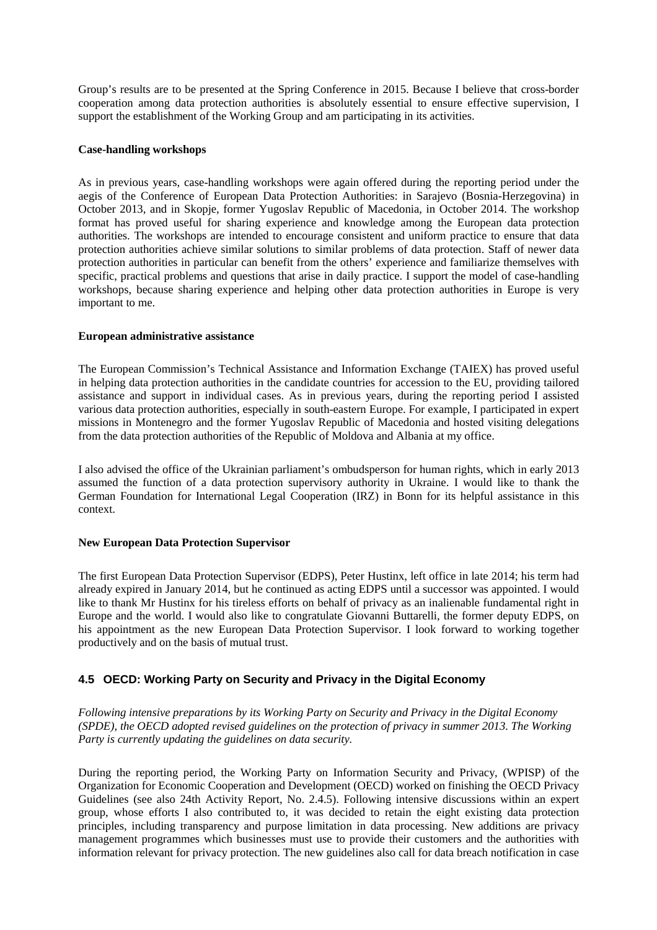Group's results are to be presented at the Spring Conference in 2015. Because I believe that cross-border cooperation among data protection authorities is absolutely essential to ensure effective supervision, I support the establishment of the Working Group and am participating in its activities.

#### **Case-handling workshops**

As in previous years, case-handling workshops were again offered during the reporting period under the aegis of the Conference of European Data Protection Authorities: in Sarajevo (Bosnia-Herzegovina) in October 2013, and in Skopje, former Yugoslav Republic of Macedonia, in October 2014. The workshop format has proved useful for sharing experience and knowledge among the European data protection authorities. The workshops are intended to encourage consistent and uniform practice to ensure that data protection authorities achieve similar solutions to similar problems of data protection. Staff of newer data protection authorities in particular can benefit from the others' experience and familiarize themselves with specific, practical problems and questions that arise in daily practice. I support the model of case-handling workshops, because sharing experience and helping other data protection authorities in Europe is very important to me.

#### **European administrative assistance**

The European Commission's Technical Assistance and Information Exchange (TAIEX) has proved useful in helping data protection authorities in the candidate countries for accession to the EU, providing tailored assistance and support in individual cases. As in previous years, during the reporting period I assisted various data protection authorities, especially in south-eastern Europe. For example, I participated in expert missions in Montenegro and the former Yugoslav Republic of Macedonia and hosted visiting delegations from the data protection authorities of the Republic of Moldova and Albania at my office.

I also advised the office of the Ukrainian parliament's ombudsperson for human rights, which in early 2013 assumed the function of a data protection supervisory authority in Ukraine. I would like to thank the German Foundation for International Legal Cooperation (IRZ) in Bonn for its helpful assistance in this context.

#### **New European Data Protection Supervisor**

The first European Data Protection Supervisor (EDPS), Peter Hustinx, left office in late 2014; his term had already expired in January 2014, but he continued as acting EDPS until a successor was appointed. I would like to thank Mr Hustinx for his tireless efforts on behalf of privacy as an inalienable fundamental right in Europe and the world. I would also like to congratulate Giovanni Buttarelli, the former deputy EDPS, on his appointment as the new European Data Protection Supervisor. I look forward to working together productively and on the basis of mutual trust.

# **4.5 OECD: Working Party on Security and Privacy in the Digital Economy**

*Following intensive preparations by its Working Party on Security and Privacy in the Digital Economy (SPDE), the OECD adopted revised guidelines on the protection of privacy in summer 2013. The Working Party is currently updating the guidelines on data security.*

During the reporting period, the Working Party on Information Security and Privacy, (WPISP) of the Organization for Economic Cooperation and Development (OECD) worked on finishing the OECD Privacy Guidelines (see also 24th Activity Report, No. 2.4.5). Following intensive discussions within an expert group, whose efforts I also contributed to, it was decided to retain the eight existing data protection principles, including transparency and purpose limitation in data processing. New additions are privacy management programmes which businesses must use to provide their customers and the authorities with information relevant for privacy protection. The new guidelines also call for data breach notification in case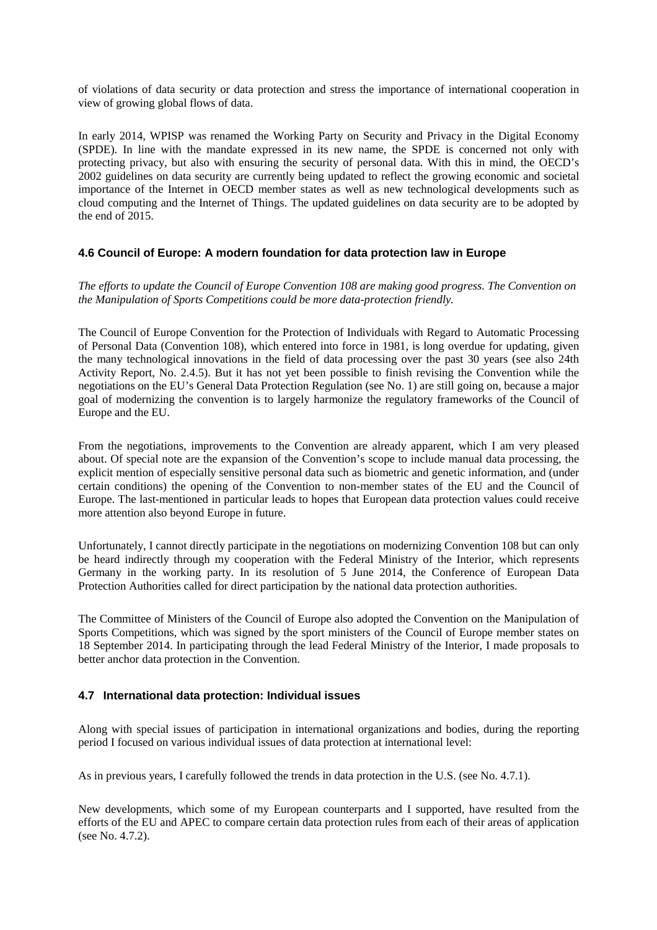of violations of data security or data protection and stress the importance of international cooperation in view of growing global flows of data.

In early 2014, WPISP was renamed the Working Party on Security and Privacy in the Digital Economy (SPDE). In line with the mandate expressed in its new name, the SPDE is concerned not only with protecting privacy, but also with ensuring the security of personal data. With this in mind, the OECD's 2002 guidelines on data security are currently being updated to reflect the growing economic and societal importance of the Internet in OECD member states as well as new technological developments such as cloud computing and the Internet of Things. The updated guidelines on data security are to be adopted by the end of 2015.

# **4.6 Council of Europe: A modern foundation for data protection law in Europe**

*The efforts to update the Council of Europe Convention 108 are making good progress. The Convention on the Manipulation of Sports Competitions could be more data-protection friendly.*

The Council of Europe Convention for the Protection of Individuals with Regard to Automatic Processing of Personal Data (Convention 108), which entered into force in 1981, is long overdue for updating, given the many technological innovations in the field of data processing over the past 30 years (see also 24th Activity Report, No. 2.4.5). But it has not yet been possible to finish revising the Convention while the negotiations on the EU's General Data Protection Regulation (see No. 1) are still going on, because a major goal of modernizing the convention is to largely harmonize the regulatory frameworks of the Council of Europe and the EU.

From the negotiations, improvements to the Convention are already apparent, which I am very pleased about. Of special note are the expansion of the Convention's scope to include manual data processing, the explicit mention of especially sensitive personal data such as biometric and genetic information, and (under certain conditions) the opening of the Convention to non-member states of the EU and the Council of Europe. The last-mentioned in particular leads to hopes that European data protection values could receive more attention also beyond Europe in future.

Unfortunately, I cannot directly participate in the negotiations on modernizing Convention 108 but can only be heard indirectly through my cooperation with the Federal Ministry of the Interior, which represents Germany in the working party. In its resolution of 5 June 2014, the Conference of European Data Protection Authorities called for direct participation by the national data protection authorities.

The Committee of Ministers of the Council of Europe also adopted the Convention on the Manipulation of Sports Competitions, which was signed by the sport ministers of the Council of Europe member states on 18 September 2014. In participating through the lead Federal Ministry of the Interior, I made proposals to better anchor data protection in the Convention.

# **4.7 International data protection: Individual issues**

Along with special issues of participation in international organizations and bodies, during the reporting period I focused on various individual issues of data protection at international level:

As in previous years, I carefully followed the trends in data protection in the U.S. (see No. 4.7.1).

New developments, which some of my European counterparts and I supported, have resulted from the efforts of the EU and APEC to compare certain data protection rules from each of their areas of application (see No. 4.7.2).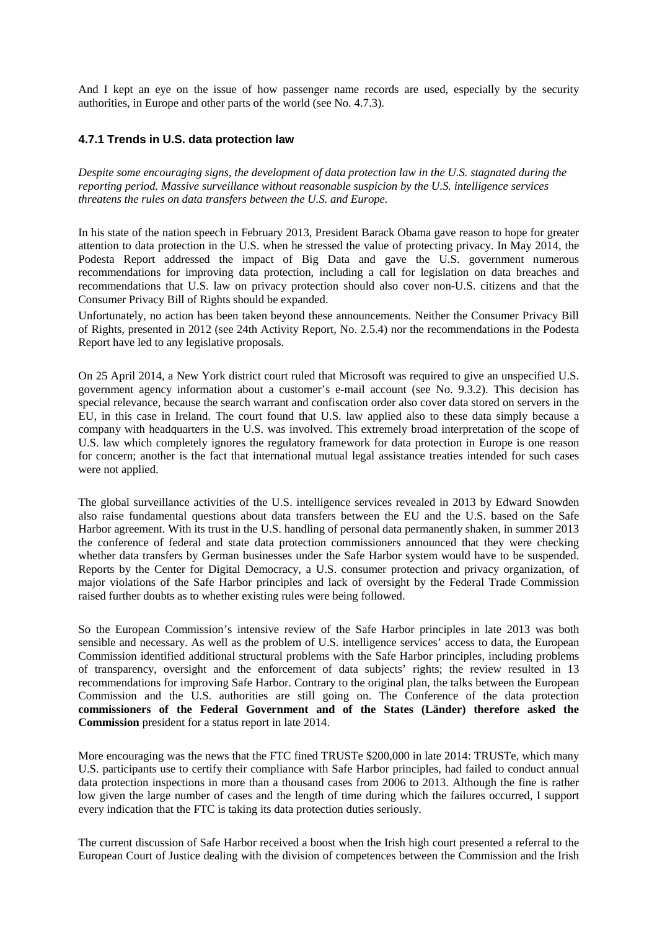And I kept an eye on the issue of how passenger name records are used, especially by the security authorities, in Europe and other parts of the world (see No. 4.7.3).

# **4.7.1 Trends in U.S. data protection law**

*Despite some encouraging signs, the development of data protection law in the U.S. stagnated during the reporting period. Massive surveillance without reasonable suspicion by the U.S. intelligence services threatens the rules on data transfers between the U.S. and Europe.*

In his state of the nation speech in February 2013, President Barack Obama gave reason to hope for greater attention to data protection in the U.S. when he stressed the value of protecting privacy. In May 2014, the Podesta Report addressed the impact of Big Data and gave the U.S. government numerous recommendations for improving data protection, including a call for legislation on data breaches and recommendations that U.S. law on privacy protection should also cover non-U.S. citizens and that the Consumer Privacy Bill of Rights should be expanded.

Unfortunately, no action has been taken beyond these announcements. Neither the Consumer Privacy Bill of Rights, presented in 2012 (see 24th Activity Report, No. 2.5.4) nor the recommendations in the Podesta Report have led to any legislative proposals.

On 25 April 2014, a New York district court ruled that Microsoft was required to give an unspecified U.S. government agency information about a customer's e-mail account (see No. 9.3.2). This decision has special relevance, because the search warrant and confiscation order also cover data stored on servers in the EU, in this case in Ireland. The court found that U.S. law applied also to these data simply because a company with headquarters in the U.S. was involved. This extremely broad interpretation of the scope of U.S. law which completely ignores the regulatory framework for data protection in Europe is one reason for concern; another is the fact that international mutual legal assistance treaties intended for such cases were not applied.

The global surveillance activities of the U.S. intelligence services revealed in 2013 by Edward Snowden also raise fundamental questions about data transfers between the EU and the U.S. based on the Safe Harbor agreement. With its trust in the U.S. handling of personal data permanently shaken, in summer 2013 the conference of federal and state data protection commissioners announced that they were checking whether data transfers by German businesses under the Safe Harbor system would have to be suspended. Reports by the Center for Digital Democracy, a U.S. consumer protection and privacy organization, of major violations of the Safe Harbor principles and lack of oversight by the Federal Trade Commission raised further doubts as to whether existing rules were being followed.

So the European Commission's intensive review of the Safe Harbor principles in late 2013 was both sensible and necessary. As well as the problem of U.S. intelligence services' access to data, the European Commission identified additional structural problems with the Safe Harbor principles, including problems of transparency, oversight and the enforcement of data subjects' rights; the review resulted in 13 recommendations for improving Safe Harbor. Contrary to the original plan, the talks between the European Commission and the U.S. authorities are still going on. The Conference of the data protection **commissioners of the Federal Government and of the States (Länder) therefore asked the Commission** president for a status report in late 2014.

More encouraging was the news that the FTC fined TRUSTe \$200,000 in late 2014: TRUSTe, which many U.S. participants use to certify their compliance with Safe Harbor principles, had failed to conduct annual data protection inspections in more than a thousand cases from 2006 to 2013. Although the fine is rather low given the large number of cases and the length of time during which the failures occurred, I support every indication that the FTC is taking its data protection duties seriously.

The current discussion of Safe Harbor received a boost when the Irish high court presented a referral to the European Court of Justice dealing with the division of competences between the Commission and the Irish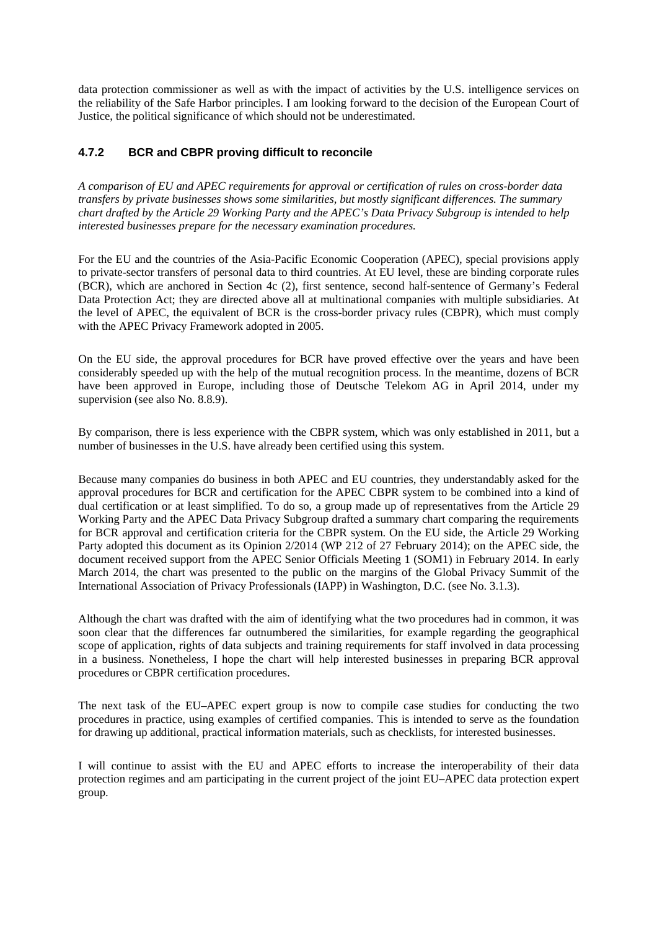data protection commissioner as well as with the impact of activities by the U.S. intelligence services on the reliability of the Safe Harbor principles. I am looking forward to the decision of the European Court of Justice, the political significance of which should not be underestimated.

# **4.7.2 BCR and CBPR proving difficult to reconcile**

*A comparison of EU and APEC requirements for approval or certification of rules on cross-border data transfers by private businesses shows some similarities, but mostly significant differences. The summary chart drafted by the Article 29 Working Party and the APEC's Data Privacy Subgroup is intended to help interested businesses prepare for the necessary examination procedures.*

For the EU and the countries of the Asia-Pacific Economic Cooperation (APEC), special provisions apply to private-sector transfers of personal data to third countries. At EU level, these are binding corporate rules (BCR), which are anchored in Section 4c (2), first sentence, second half-sentence of Germany's Federal Data Protection Act; they are directed above all at multinational companies with multiple subsidiaries. At the level of APEC, the equivalent of BCR is the cross-border privacy rules (CBPR), which must comply with the APEC Privacy Framework adopted in 2005.

On the EU side, the approval procedures for BCR have proved effective over the years and have been considerably speeded up with the help of the mutual recognition process. In the meantime, dozens of BCR have been approved in Europe, including those of Deutsche Telekom AG in April 2014, under my supervision (see also No. 8.8.9).

By comparison, there is less experience with the CBPR system, which was only established in 2011, but a number of businesses in the U.S. have already been certified using this system.

Because many companies do business in both APEC and EU countries, they understandably asked for the approval procedures for BCR and certification for the APEC CBPR system to be combined into a kind of dual certification or at least simplified. To do so, a group made up of representatives from the Article 29 Working Party and the APEC Data Privacy Subgroup drafted a summary chart comparing the requirements for BCR approval and certification criteria for the CBPR system. On the EU side, the Article 29 Working Party adopted this document as its Opinion 2/2014 (WP 212 of 27 February 2014); on the APEC side, the document received support from the APEC Senior Officials Meeting 1 (SOM1) in February 2014. In early March 2014, the chart was presented to the public on the margins of the Global Privacy Summit of the International Association of Privacy Professionals (IAPP) in Washington, D.C. (see No. 3.1.3).

Although the chart was drafted with the aim of identifying what the two procedures had in common, it was soon clear that the differences far outnumbered the similarities, for example regarding the geographical scope of application, rights of data subjects and training requirements for staff involved in data processing in a business. Nonetheless, I hope the chart will help interested businesses in preparing BCR approval procedures or CBPR certification procedures.

The next task of the EU–APEC expert group is now to compile case studies for conducting the two procedures in practice, using examples of certified companies. This is intended to serve as the foundation for drawing up additional, practical information materials, such as checklists, for interested businesses.

I will continue to assist with the EU and APEC efforts to increase the interoperability of their data protection regimes and am participating in the current project of the joint EU–APEC data protection expert group.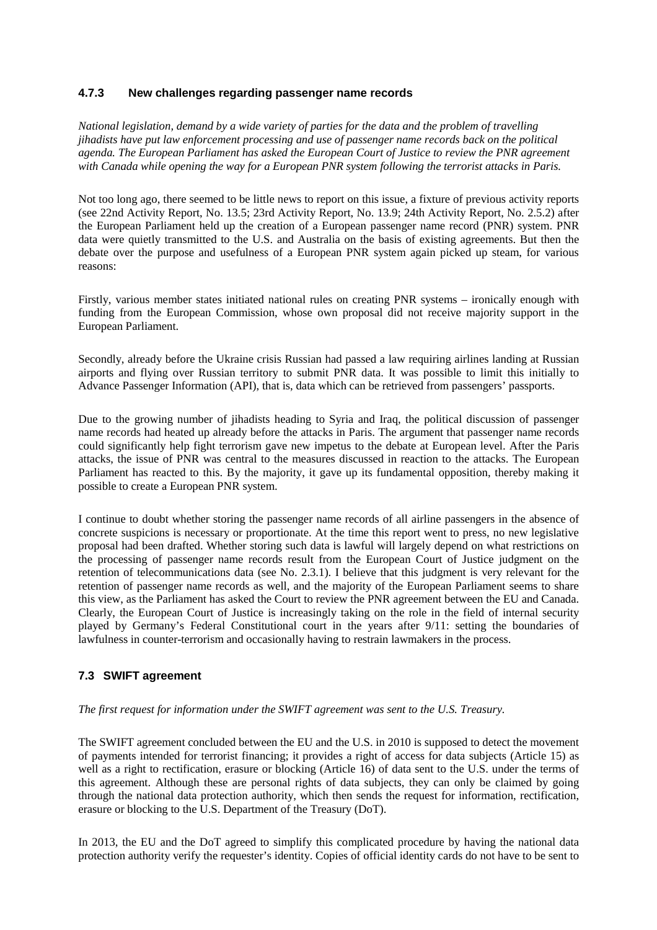# **4.7.3 New challenges regarding passenger name records**

*National legislation, demand by a wide variety of parties for the data and the problem of travelling jihadists have put law enforcement processing and use of passenger name records back on the political agenda. The European Parliament has asked the European Court of Justice to review the PNR agreement with Canada while opening the way for a European PNR system following the terrorist attacks in Paris.*

Not too long ago, there seemed to be little news to report on this issue, a fixture of previous activity reports (see 22nd Activity Report, No. 13.5; 23rd Activity Report, No. 13.9; 24th Activity Report, No. 2.5.2) after the European Parliament held up the creation of a European passenger name record (PNR) system. PNR data were quietly transmitted to the U.S. and Australia on the basis of existing agreements. But then the debate over the purpose and usefulness of a European PNR system again picked up steam, for various reasons:

Firstly, various member states initiated national rules on creating PNR systems – ironically enough with funding from the European Commission, whose own proposal did not receive majority support in the European Parliament.

Secondly, already before the Ukraine crisis Russian had passed a law requiring airlines landing at Russian airports and flying over Russian territory to submit PNR data. It was possible to limit this initially to Advance Passenger Information (API), that is, data which can be retrieved from passengers' passports.

Due to the growing number of jihadists heading to Syria and Iraq, the political discussion of passenger name records had heated up already before the attacks in Paris. The argument that passenger name records could significantly help fight terrorism gave new impetus to the debate at European level. After the Paris attacks, the issue of PNR was central to the measures discussed in reaction to the attacks. The European Parliament has reacted to this. By the majority, it gave up its fundamental opposition, thereby making it possible to create a European PNR system.

I continue to doubt whether storing the passenger name records of all airline passengers in the absence of concrete suspicions is necessary or proportionate. At the time this report went to press, no new legislative proposal had been drafted. Whether storing such data is lawful will largely depend on what restrictions on the processing of passenger name records result from the European Court of Justice judgment on the retention of telecommunications data (see No. 2.3.1). I believe that this judgment is very relevant for the retention of passenger name records as well, and the majority of the European Parliament seems to share this view, as the Parliament has asked the Court to review the PNR agreement between the EU and Canada. Clearly, the European Court of Justice is increasingly taking on the role in the field of internal security played by Germany's Federal Constitutional court in the years after 9/11: setting the boundaries of lawfulness in counter-terrorism and occasionally having to restrain lawmakers in the process.

# **7.3 SWIFT agreement**

# *The first request for information under the SWIFT agreement was sent to the U.S. Treasury.*

The SWIFT agreement concluded between the EU and the U.S. in 2010 is supposed to detect the movement of payments intended for terrorist financing; it provides a right of access for data subjects (Article 15) as well as a right to rectification, erasure or blocking (Article 16) of data sent to the U.S. under the terms of this agreement. Although these are personal rights of data subjects, they can only be claimed by going through the national data protection authority, which then sends the request for information, rectification, erasure or blocking to the U.S. Department of the Treasury (DoT).

In 2013, the EU and the DoT agreed to simplify this complicated procedure by having the national data protection authority verify the requester's identity. Copies of official identity cards do not have to be sent to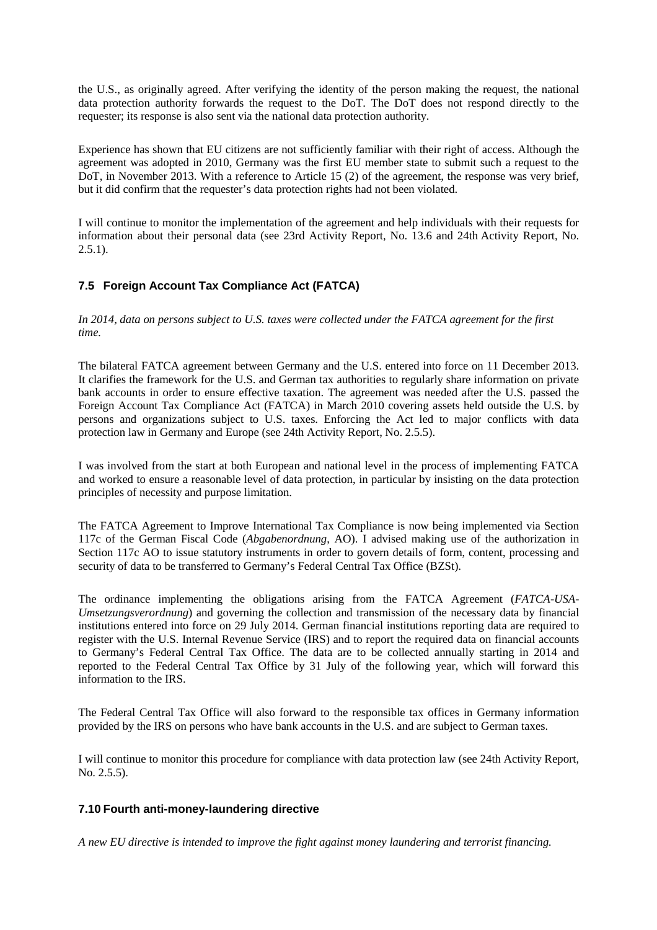the U.S., as originally agreed. After verifying the identity of the person making the request, the national data protection authority forwards the request to the DoT. The DoT does not respond directly to the requester; its response is also sent via the national data protection authority.

Experience has shown that EU citizens are not sufficiently familiar with their right of access. Although the agreement was adopted in 2010, Germany was the first EU member state to submit such a request to the DoT, in November 2013. With a reference to Article 15 (2) of the agreement, the response was very brief, but it did confirm that the requester's data protection rights had not been violated.

I will continue to monitor the implementation of the agreement and help individuals with their requests for information about their personal data (see 23rd Activity Report, No. 13.6 and 24th Activity Report, No.  $2.5.1$ ).

# **7.5 Foreign Account Tax Compliance Act (FATCA)**

*In 2014, data on persons subject to U.S. taxes were collected under the FATCA agreement for the first time.*

The bilateral FATCA agreement between Germany and the U.S. entered into force on 11 December 2013. It clarifies the framework for the U.S. and German tax authorities to regularly share information on private bank accounts in order to ensure effective taxation. The agreement was needed after the U.S. passed the Foreign Account Tax Compliance Act (FATCA) in March 2010 covering assets held outside the U.S. by persons and organizations subject to U.S. taxes. Enforcing the Act led to major conflicts with data protection law in Germany and Europe (see 24th Activity Report, No. 2.5.5).

I was involved from the start at both European and national level in the process of implementing FATCA and worked to ensure a reasonable level of data protection, in particular by insisting on the data protection principles of necessity and purpose limitation.

The FATCA Agreement to Improve International Tax Compliance is now being implemented via Section 117c of the German Fiscal Code (*Abgabenordnung*, AO). I advised making use of the authorization in Section 117c AO to issue statutory instruments in order to govern details of form, content, processing and security of data to be transferred to Germany's Federal Central Tax Office (BZSt).

The ordinance implementing the obligations arising from the FATCA Agreement (*FATCA-USA-Umsetzungsverordnung*) and governing the collection and transmission of the necessary data by financial institutions entered into force on 29 July 2014. German financial institutions reporting data are required to register with the U.S. Internal Revenue Service (IRS) and to report the required data on financial accounts to Germany's Federal Central Tax Office. The data are to be collected annually starting in 2014 and reported to the Federal Central Tax Office by 31 July of the following year, which will forward this information to the IRS.

The Federal Central Tax Office will also forward to the responsible tax offices in Germany information provided by the IRS on persons who have bank accounts in the U.S. and are subject to German taxes.

I will continue to monitor this procedure for compliance with data protection law (see 24th Activity Report, No. 2.5.5).

# **7.10 Fourth anti-money-laundering directive**

*A new EU directive is intended to improve the fight against money laundering and terrorist financing.*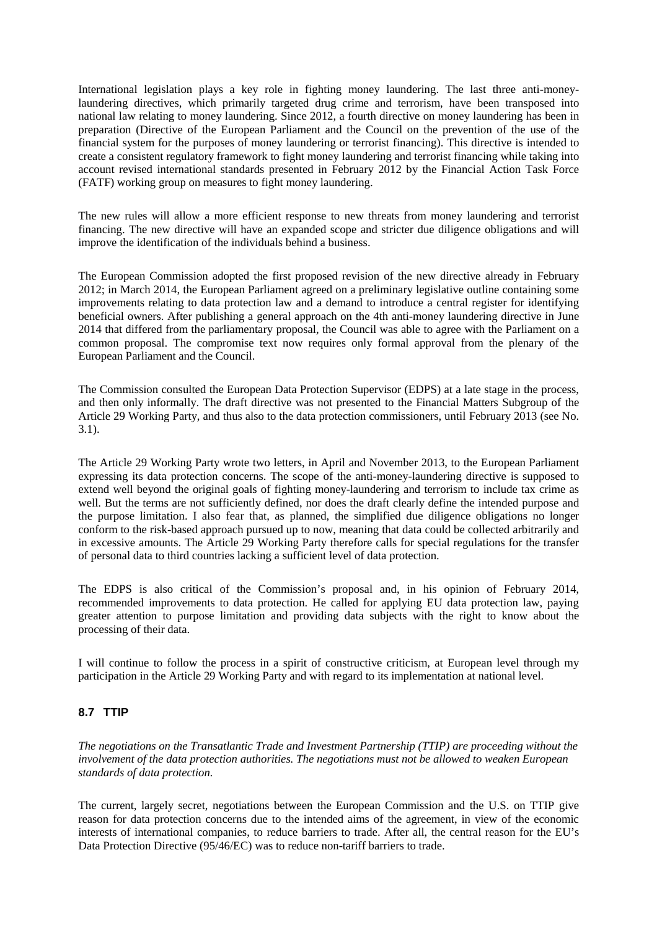International legislation plays a key role in fighting money laundering. The last three anti-moneylaundering directives, which primarily targeted drug crime and terrorism, have been transposed into national law relating to money laundering. Since 2012, a fourth directive on money laundering has been in preparation (Directive of the European Parliament and the Council on the prevention of the use of the financial system for the purposes of money laundering or terrorist financing). This directive is intended to create a consistent regulatory framework to fight money laundering and terrorist financing while taking into account revised international standards presented in February 2012 by the Financial Action Task Force (FATF) working group on measures to fight money laundering.

The new rules will allow a more efficient response to new threats from money laundering and terrorist financing. The new directive will have an expanded scope and stricter due diligence obligations and will improve the identification of the individuals behind a business.

The European Commission adopted the first proposed revision of the new directive already in February 2012; in March 2014, the European Parliament agreed on a preliminary legislative outline containing some improvements relating to data protection law and a demand to introduce a central register for identifying beneficial owners. After publishing a general approach on the 4th anti-money laundering directive in June 2014 that differed from the parliamentary proposal, the Council was able to agree with the Parliament on a common proposal. The compromise text now requires only formal approval from the plenary of the European Parliament and the Council.

The Commission consulted the European Data Protection Supervisor (EDPS) at a late stage in the process, and then only informally. The draft directive was not presented to the Financial Matters Subgroup of the Article 29 Working Party, and thus also to the data protection commissioners, until February 2013 (see No. 3.1).

The Article 29 Working Party wrote two letters, in April and November 2013, to the European Parliament expressing its data protection concerns. The scope of the anti-money-laundering directive is supposed to extend well beyond the original goals of fighting money-laundering and terrorism to include tax crime as well. But the terms are not sufficiently defined, nor does the draft clearly define the intended purpose and the purpose limitation. I also fear that, as planned, the simplified due diligence obligations no longer conform to the risk-based approach pursued up to now, meaning that data could be collected arbitrarily and in excessive amounts. The Article 29 Working Party therefore calls for special regulations for the transfer of personal data to third countries lacking a sufficient level of data protection.

The EDPS is also critical of the Commission's proposal and, in his opinion of February 2014, recommended improvements to data protection. He called for applying EU data protection law, paying greater attention to purpose limitation and providing data subjects with the right to know about the processing of their data.

I will continue to follow the process in a spirit of constructive criticism, at European level through my participation in the Article 29 Working Party and with regard to its implementation at national level.

# **8.7 TTIP**

*The negotiations on the Transatlantic Trade and Investment Partnership (TTIP) are proceeding without the involvement of the data protection authorities. The negotiations must not be allowed to weaken European standards of data protection.*

The current, largely secret, negotiations between the European Commission and the U.S. on TTIP give reason for data protection concerns due to the intended aims of the agreement, in view of the economic interests of international companies, to reduce barriers to trade. After all, the central reason for the EU's Data Protection Directive (95/46/EC) was to reduce non-tariff barriers to trade.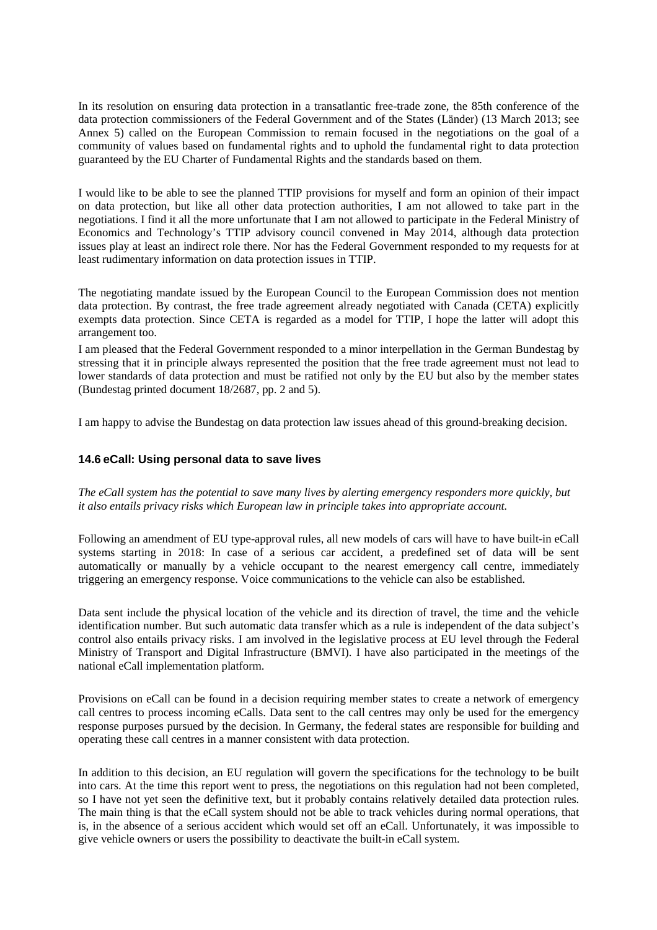In its resolution on ensuring data protection in a transatlantic free-trade zone, the 85th conference of the data protection commissioners of the Federal Government and of the States (Länder) (13 March 2013; see Annex 5) called on the European Commission to remain focused in the negotiations on the goal of a community of values based on fundamental rights and to uphold the fundamental right to data protection guaranteed by the EU Charter of Fundamental Rights and the standards based on them.

I would like to be able to see the planned TTIP provisions for myself and form an opinion of their impact on data protection, but like all other data protection authorities, I am not allowed to take part in the negotiations. I find it all the more unfortunate that I am not allowed to participate in the Federal Ministry of Economics and Technology's TTIP advisory council convened in May 2014, although data protection issues play at least an indirect role there. Nor has the Federal Government responded to my requests for at least rudimentary information on data protection issues in TTIP.

The negotiating mandate issued by the European Council to the European Commission does not mention data protection. By contrast, the free trade agreement already negotiated with Canada (CETA) explicitly exempts data protection. Since CETA is regarded as a model for TTIP, I hope the latter will adopt this arrangement too.

I am pleased that the Federal Government responded to a minor interpellation in the German Bundestag by stressing that it in principle always represented the position that the free trade agreement must not lead to lower standards of data protection and must be ratified not only by the EU but also by the member states (Bundestag printed document 18/2687, pp. 2 and 5).

I am happy to advise the Bundestag on data protection law issues ahead of this ground-breaking decision.

# **14.6 eCall: Using personal data to save lives**

*The eCall system has the potential to save many lives by alerting emergency responders more quickly, but it also entails privacy risks which European law in principle takes into appropriate account.*

Following an amendment of EU type-approval rules, all new models of cars will have to have built-in eCall systems starting in 2018: In case of a serious car accident, a predefined set of data will be sent automatically or manually by a vehicle occupant to the nearest emergency call centre, immediately triggering an emergency response. Voice communications to the vehicle can also be established.

Data sent include the physical location of the vehicle and its direction of travel, the time and the vehicle identification number. But such automatic data transfer which as a rule is independent of the data subject's control also entails privacy risks. I am involved in the legislative process at EU level through the Federal Ministry of Transport and Digital Infrastructure (BMVI). I have also participated in the meetings of the national eCall implementation platform.

Provisions on eCall can be found in a decision requiring member states to create a network of emergency call centres to process incoming eCalls. Data sent to the call centres may only be used for the emergency response purposes pursued by the decision. In Germany, the federal states are responsible for building and operating these call centres in a manner consistent with data protection.

In addition to this decision, an EU regulation will govern the specifications for the technology to be built into cars. At the time this report went to press, the negotiations on this regulation had not been completed, so I have not yet seen the definitive text, but it probably contains relatively detailed data protection rules. The main thing is that the eCall system should not be able to track vehicles during normal operations, that is, in the absence of a serious accident which would set off an eCall. Unfortunately, it was impossible to give vehicle owners or users the possibility to deactivate the built-in eCall system.